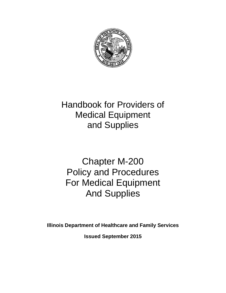

# Handbook for Providers of Medical Equipment and Supplies

# Chapter M-200 Policy and Procedures For Medical Equipment And Supplies

**Illinois Department of Healthcare and Family Services**

**Issued September 2015**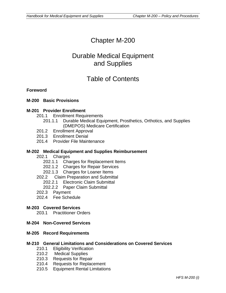## Chapter M-200

## Durable Medical Equipment and Supplies

## Table of Contents

#### **Foreword**

#### **M-200 Basic Provisions**

#### **M-201 Provider Enrollment**

- 201.1 Enrollment Requirements
	- 201.1.1 Durable Medical Equipment, Prosthetics, Orthotics, and Supplies (DMEPOS) Medicare Certification
- 201.2 Enrollment Approval
- 201.3 Enrollment Denial
- 201.4 Provider File Maintenance

#### **M-202 Medical Equipment and Supplies Reimbursement**

- 202.1 Charges
	- 202.1.1 Charges for Replacement Items
	- 202.1.2 Charges for Repair Services
	- 202.1.3 Charges for Loaner Items
- 202.2 Claim Preparation and Submittal
	- 202.2.1 Electronic Claim Submittal
	- 202.2.2 Paper Claim Submittal
- 202.3 Payment
- 202.4 Fee Schedule

#### **M-203 Covered Services**

203.1 Practitioner Orders

#### **M-204 Non-Covered Services**

#### **M-205 Record Requirements**

#### **M-210 General Limitations and Considerations on Covered Services**

- 210.1 Eligibility Verification
- 210.2 Medical Supplies
- 210.3 Requests for Repair<br>210.4 Requests for Replac
- Requests for Replacement
- 210.5 Equipment Rental Limitations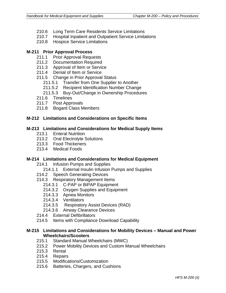- 210.6 Long Term Care Residents Service Limitations
- 210.7 Hospital Inpatient and Outpatient Service Limitations
- 210.8 Hospice Service Limitations

#### **M-211 Prior Approval Process**

- 211.1 Prior Approval Requests
- 211.2 Documentation Required
- 211.3 Approval of Item or Service
- 211.4 Denial of Item or Service
- 211.5 Change in Prior Approval Status
	- 211.5.1 Transfer from One Supplier to Another
	- 211.5.2 Recipient Identification Number Change
	- 211.5.3 Buy-Out/Change in Ownership Procedures
- 211.6 Timelines
- 211.7 Post Approvals
- 211.8 Bogard Class Members

#### **M-212 Limitations and Considerations on Specific Items**

#### **M-213 Limitations and Considerations for Medical Supply Items**

- 213.1 Enteral Nutrition
- 213.2 Oral Electrolyte Solutions
- 213.3 Food Thickeners
- 213.4 Medical Foods

#### **M-214 Limitations and Considerations for Medical Equipment**

- 214.1 Infusion Pumps and Supplies
	- 214.1.1 External Insulin Infusion Pumps and Supplies
- 214.2 Speech Generating Devices
- 214.3 Respiratory Management Items
	- 214.3.1 C-PAP or BiPAP Equipment
	- 214.3.2 Oxygen Supplies and Equipment
	- 214.3.3 Apnea Monitors
	- 214.3.4 Ventilators
	- 214.3.5 Respiratory Assist Devices (RAD)
	- 214.3.6 Airway Clearance Devices
- 214.4 External Defibrillators
- 214.5 Items with Compliance Download Capability

#### **M-215 Limitations and Considerations for Mobility Devices – Manual and Power Wheelchairs/Scooters**

- 215.1 Standard Manual Wheelchairs (MWC)
- 215.2 Power Mobility Devices and Custom Manual Wheelchairs
- 215.3 Rental
- 215.4 Repairs
- 215.5 Modifications/Customization
- 215.6 Batteries, Chargers, and Cushions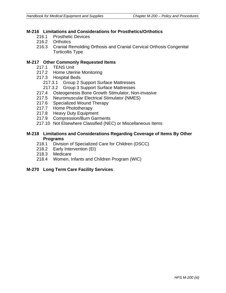#### **M-216 Limitations and Considerations for Prosthetics/Orthotics**

- 216.1 Prosthetic Devices
- 216.2 Orthotics
- 216.3 Cranial Remolding Orthosis and Cranial Cervical Orthosis Congenital Torticollis Type

#### **M-217 Other Commonly Requested Items**

- 217.1 TENS Unit
- 217.2 Home Uterine Monitoring
- 217.3 Hospital Beds
	- 217.3.1 Group 2 Support Surface Mattresses
	- 217.3.2 Group 3 Support Surface Mattresses
- 217.4 Osteogenesis Bone Growth Stimulator, Non-invasive
- 217.5 Neuromuscular Electrical Stimulator (NMES)
- 217.6 Specialized Wound Therapy
- 217.7 Home Phototherapy
- 217.8 Heavy Duty Equipment
- 217.9 Compression/Burn Garments
- 217.10 Not Elsewhere Classified (NEC) or Miscellaneous Items

#### **M-218 Limitations and Considerations Regarding Coverage of Items By Other Programs**

- 218.1 Division of Specialized Care for Children (DSCC)
- 218.2 Early Intervention (EI)
- 218.3 Medicare
- 218.4 Women, Infants and Children Program (WIC)

#### **M-270 Long Term Care Facility Services**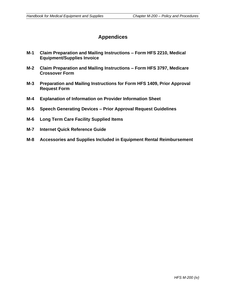## **Appendices**

- **M-1 Claim Preparation and Mailing Instructions – Form HFS 2210, Medical Equipment/Supplies Invoice**
- **M-2 Claim Preparation and Mailing Instructions – Form HFS 3797, Medicare Crossover Form**
- **M-3 Preparation and Mailing Instructions for Form HFS 1409, Prior Approval Request Form**
- **M-4 Explanation of Information on Provider Information Sheet**
- **M-5 Speech Generating Devices – Prior Approval Request Guidelines**
- **M-6 Long Term Care Facility Supplied Items**
- **M-7 Internet Quick Reference Guide**
- **M-8 Accessories and Supplies Included in Equipment Rental Reimbursement**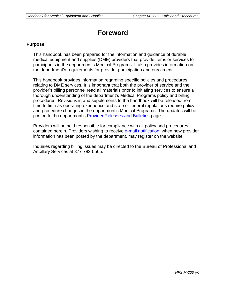## **Foreword**

#### **Purpose**

This handbook has been prepared for the information and guidance of durable medical equipment and supplies (DME) providers that provide items or services to participants in the department's Medical Programs. It also provides information on the department's requirements for provider participation and enrollment.

This handbook provides information regarding specific policies and procedures relating to DME services. It is important that both the provider of service and the provider's billing personnel read all materials prior to initiating services to ensure a thorough understanding of the department's Medical Programs policy and billing procedures. Revisions in and supplements to the handbook will be released from time to time as operating experience and state or federal regulations require policy and procedure changes in the department's Medical Programs. The updates will be posted to the department's [Provider Releases and Bulletins](http://www.illinois.gov/hfs/MedicalProviders/notices/Pages/default.aspx) page.

Providers will be held responsible for compliance with all policy and procedures contained herein. Providers wishing to receive [e-mail notification,](http://www.illinois.gov/hfs/MedicalProviders/EDI/Pages/notify.aspx) when new provider information has been posted by the department, may register on the website.

Inquiries regarding billing issues may be directed to the Bureau of Professional and Ancillary Services at 877-782-5565.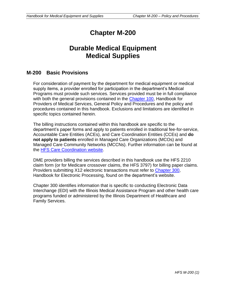## **Chapter M-200**

## **Durable Medical Equipment Medical Supplies**

### **M-200 Basic Provisions**

For consideration of payment by the department for medical equipment or medical supply items, a provider enrolled for participation in the department's Medical Programs must provide such services. Services provided must be in full compliance with both the general provisions contained in the [Chapter 100,](http://www.illinois.gov/hfs/MedicalProviders/Handbooks/Pages/Chapter100.aspx) Handbook for Providers of Medical Services, General Policy and Procedures and the policy and procedures contained in this handbook. Exclusions and limitations are identified in specific topics contained herein.

The billing instructions contained within this handbook are specific to the department's paper forms and apply to patients enrolled in traditional fee-for-service, Accountable Care Entities (ACEs), and Care Coordination Entities (CCEs) and **do not apply to patients** enrolled in Managed Care Organizations (MCOs) and Managed Care Community Networks (MCCNs). Further information can be found at the [HFS Care Coordination website.](http://www.illinois.gov/hfs/MedicalProviders/cc/Pages/default.aspx)

DME providers billing the services described in this handbook use the HFS 2210 claim form (or for Medicare crossover claims, the HFS 3797) for billing paper claims. Providers submitting X12 electronic transactions must refer to [Chapter 300,](http://www.illinois.gov/hfs/MedicalProviders/Handbooks/Pages/5010.aspx) Handbook for Electronic Processing, found on the department's website.

Chapter 300 identifies information that is specific to conducting Electronic Data Interchange (EDI) with the Illinois Medical Assistance Program and other health care programs funded or administered by the Illinois Department of Healthcare and Family Services.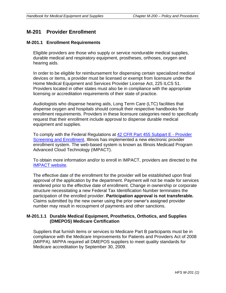## **M-201 Provider Enrollment**

#### **M-201.1 Enrollment Requirements**

Eligible providers are those who supply or service nondurable medical supplies, durable medical and respiratory equipment, prostheses, orthoses, oxygen and hearing aids.

In order to be eligible for reimbursement for dispensing certain specialized medical devices or items, a provider must be licensed or exempt from licensure under the Home Medical Equipment and Services Provider License Act, 225 ILCS 51. Providers located in other states must also be in compliance with the appropriate licensing or accreditation requirements of their state of practice.

Audiologists who dispense hearing aids, Long Term Care (LTC) facilities that dispense oxygen and hospitals should consult their respective handbooks for enrollment requirements. Providers in these licensure categories need to specifically request that their enrollment include approval to dispense durable medical equipment and supplies.

To comply with the Federal Regulations at [42 CFR Part 455 Subpart E -](http://www.ecfr.gov/cgi-bin/text-idx?tpl=/ecfrbrowse/Title42/42cfr455_main_02.tpl) Provider [Screening and Enrollment,](http://www.ecfr.gov/cgi-bin/text-idx?tpl=/ecfrbrowse/Title42/42cfr455_main_02.tpl) Illinois has implemented a new electronic provider enrollment system. The web-based system is known as Illinois Medicaid Program Advanced Cloud Technology (IMPACT).

To obtain more information and/or to enroll in IMPACT, providers are directed to the [IMPACT website.](http://www.illinois.gov/hfs/impact/Pages/default.aspx)

The effective date of the enrollment for the provider will be established upon final approval of the application by the department. Payment will not be made for services rendered prior to the effective date of enrollment. Change in ownership or corporate structure necessitating a new Federal Tax Identification Number terminates the participation of the enrolled provider. **Participation approval is not transferable.**  Claims submitted by the new owner using the prior owner's assigned provider number may result in recoupment of payments and other sanctions.

#### **M-201.1.1 Durable Medical Equipment, Prosthetics, Orthotics, and Supplies (DMEPOS) Medicare Certification**

Suppliers that furnish items or services to Medicare Part B participants must be in compliance with the Medicare Improvements for Patients and Providers Act of 2008 (MIPPA). MIPPA required all DMEPOS suppliers to meet quality standards for Medicare accreditation by September 30, 2009.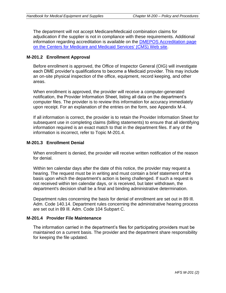The department will not accept Medicare/Medicaid combination claims for adjudication if the supplier is not in compliance with these requirements. Additional information regarding accreditation is available on the [DMEPOS Accreditation page](http://www.cms.gov/Medicare/Provider-Enrollment-and-Certification/MedicareProviderSupEnroll/DMEPOSAccreditation.html)  [on the Centers for Medicare and Medicaid Services' \(CMS\) Web site.](http://www.cms.gov/Medicare/Provider-Enrollment-and-Certification/MedicareProviderSupEnroll/DMEPOSAccreditation.html)

#### **M-201.2 Enrollment Approval**

Before enrollment is approved, the Office of Inspector General (OIG) will investigate each DME provider's qualifications to become a Medicaid provider. This may include an on-site physical inspection of the office, equipment, record keeping, and other areas.

When enrollment is approved, the provider will receive a computer-generated notification, the Provider Information Sheet, listing all data on the department's computer files. The provider is to review this information for accuracy immediately upon receipt. For an explanation of the entries on the form, see Appendix M-4.

If all information is correct, the provider is to retain the Provider Information Sheet for subsequent use in completing claims (billing statements) to ensure that all identifying information required is an exact match to that in the department files. If any of the information is incorrect, refer to Topic M-201.4.

#### **M-201.3 Enrollment Denial**

When enrollment is denied, the provider will receive written notification of the reason for denial.

Within ten calendar days after the date of this notice, the provider may request a hearing. The request must be in writing and must contain a brief statement of the basis upon which the department's action is being challenged. If such a request is not received within ten calendar days, or is received, but later withdrawn, the department's decision shall be a final and binding administrative determination.

Department rules concerning the basis for denial of enrollment are set out in 89 Ill. Adm. Code 140.14. Department rules concerning the administrative hearing process are set out in 89 Ill. Adm. Code 104 Subpart C.

#### **M-201.4 Provider File Maintenance**

The information carried in the department's files for participating providers must be maintained on a current basis. The provider and the department share responsibility for keeping the file updated.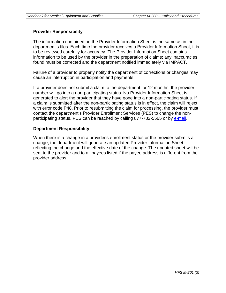#### **Provider Responsibility**

The information contained on the Provider Information Sheet is the same as in the department's files. Each time the provider receives a Provider Information Sheet, it is to be reviewed carefully for accuracy. The Provider Information Sheet contains information to be used by the provider in the preparation of claims; any inaccuracies found must be corrected and the department notified immediately via IMPACT.

Failure of a provider to properly notify the department of corrections or changes may cause an interruption in participation and payments.

If a provider does not submit a claim to the department for 12 months, the provider number will go into a non-participating status. No Provider Information Sheet is generated to alert the provider that they have gone into a non-participating status. If a claim is submitted after the non-participating status is in effect, the claim will reject with error code P48. Prior to resubmitting the claim for processing, the provider must contact the department's Provider Enrollment Services (PES) to change the nonparticipating status. PES can be reached by calling 877-782-5565 or by [e-mail.](mailto:hfs.ppu@illinois.gov)

#### **Department Responsibility**

When there is a change in a provider's enrollment status or the provider submits a change, the department will generate an updated Provider Information Sheet reflecting the change and the effective date of the change. The updated sheet will be sent to the provider and to all payees listed if the payee address is different from the provider address.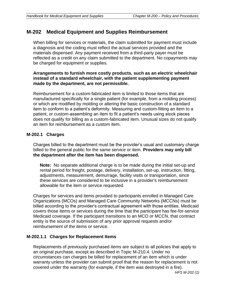## **M-202 Medical Equipment and Supplies Reimbursement**

When billing for services or materials, the claim submitted for payment must include a diagnosis and the coding must reflect the actual services provided and the materials dispensed. Any payment received from a third-party payer must be reflected as a credit on any claim submitted to the department. No copayments may be charged for equipment or supplies.

#### **Arrangements to furnish more costly products, such as an electric wheelchair instead of a standard wheelchair, with the patient supplementing payment made by the department, are not permissible.**

Reimbursement for a custom-fabricated item is limited to those items that are manufactured specifically for a single patient (for example, from a molding process) or which are modified by molding or altering the basic construction of a standard item to conform to a patient's deformity. Measuring and custom-fitting an item to a patient, or custom-assembling an item to fit a patient's needs using stock pieces does not qualify for billing as a custom-fabricated item. Unusual sizes do not qualify an item for reimbursement as a custom item.

#### **M-202.1 Charges**

Charges billed to the department must be the provider's usual and customary charge billed to the general public for the same service or item. **Providers may only bill the department after the item has been dispensed.**

**Note:** No separate additional charge is to be made during the initial set-up and rental period for freight, postage, delivery, installation, set-up, instruction, fitting, adjustments, measurement, demurrage, facility visits or transportation, since these services are considered to be inclusive in a provider's reimbursement allowable for the item or service requested.

Charges for services and items provided to participants enrolled in Managed Care Organizations (MCOs) and Managed Care Community Networks (MCCNs) must be billed according to the provider's contractual agreement with those entities. Medicaid covers those items or services during the time that the participant has fee-for-service Medicaid coverage. If the participant transitions to an MCO or MCCN, that contract entity is the source of submission of any prior approval requests and/or reimbursement of the items or service.

#### **M-202.1.1 Charges for Replacement Items**

Replacements of previously purchased items are subject to all policies that apply to an original purchase, except as described in Topic M-210.4. Under no circumstances can charges be billed for replacement of an item which is under warranty unless the provider can submit proof that the reason for replacement is not covered under the warranty (for example, if the item was destroyed in a fire).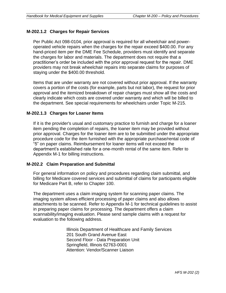#### **M-202.1.2 Charges for Repair Services**

Per Public Act 098-0104, prior approval is required for all wheelchair and poweroperated vehicle repairs when the charges for the repair exceed \$400.00. For any hand-priced item per the DME Fee Schedule, providers must identify and separate the charges for labor and materials. The department does not require that a practitioner's order be included with the prior approval request for the repair. DME providers may not break wheelchair repairs into separate claims for purposes of staying under the \$400.00 threshold.

Items that are under warranty are not covered without prior approval. If the warranty covers a portion of the costs (for example, parts but not labor), the request for prior approval and the itemized breakdown of repair charges must show all the costs and clearly indicate which costs are covered under warranty and which will be billed to the department. See special requirements for wheelchairs under Topic M-215.

#### **M-202.1.3 Charges for Loaner Items**

If it is the provider's usual and customary practice to furnish and charge for a loaner item pending the completion of repairs, the loaner item may be provided without prior approval. Charges for the loaner item are to be submitted under the appropriate procedure code for the item furnished with the appropriate purchase/rental code of "5" on paper claims. Reimbursement for loaner items will not exceed the department's established rate for a one-month rental of the same item. Refer to Appendix M-1 for billing instructions.

#### **M-202.2 Claim Preparation and Submittal**

For general information on policy and procedures regarding claim submittal, and billing for Medicare covered services and submittal of claims for participants eligible for Medicare Part B, refer to Chapter 100.

The department uses a claim imaging system for scanning paper claims. The imaging system allows efficient processing of paper claims and also allows attachments to be scanned. Refer to Appendix M-1 for technical guidelines to assist in preparing paper claims for processing. The department offers a claim scannability/imaging evaluation. Please send sample claims with a request for evaluation to the following address.

> Illinois Department of Healthcare and Family Services 201 South Grand Avenue East Second Floor - Data Preparation Unit Springfield, Illinois 62763-0001 Attention: Vendor/Scanner Liaison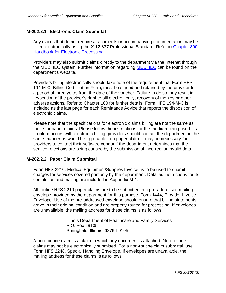#### **M-202.2.1 Electronic Claim Submittal**

Any claims that do not require attachments or accompanying documentation may be billed electronically using the X-12 837 Professional Standard. Refer to [Chapter 300,](http://www.illinois.gov/hfs/MedicalProviders/Handbooks/Pages/5010.aspx)  **[Handbook for Electronic Processing.](http://www.illinois.gov/hfs/MedicalProviders/Handbooks/Pages/5010.aspx)** 

Providers may also submit claims directly to the department via the Internet through the MEDI IEC system. Further information regarding [MEDI IEC](http://www.myhfs.illinois.gov/) can be found on the department's website.

Providers billing electronically should take note of the requirement that Form HFS 194-M-C, Billing Certification Form, must be signed and retained by the provider for a period of three years from the date of the voucher. Failure to do so may result in revocation of the provider's right to bill electronically, recovery of monies or other adverse actions. Refer to Chapter 100 for further details. Form HFS 194-M-C is included as the last page for each Remittance Advice that reports the disposition of electronic claims.

Please note that the specifications for electronic claims billing are not the same as those for paper claims. Please follow the instructions for the medium being used. If a problem occurs with electronic billing, providers should contact the department in the same manner as would be applicable to a paper claim. It may be necessary for providers to contact their software vendor if the department determines that the service rejections are being caused by the submission of incorrect or invalid data.

#### **M-202.2.2 Paper Claim Submittal**

Form HFS 2210, Medical Equipment/Supplies Invoice, is to be used to submit charges for services covered primarily by the department. Detailed instructions for its completion and mailing are included in Appendix M-1.

All routine HFS 2210 paper claims are to be submitted in a pre-addressed mailing envelope provided by the department for this purpose, Form 1444, Provider Invoice Envelope. Use of the pre-addressed envelope should ensure that billing statements arrive in their original condition and are properly routed for processing. If envelopes are unavailable, the mailing address for these claims is as follows:

> Illinois Department of Healthcare and Family Services P.O. Box 19105 Springfield, Illinois 62794-9105

A non-routine claim is a claim to which any document is attached. Non-routine claims may not be electronically submitted. For a non-routine claim submittal, use Form HFS 2248, Special Handling Envelope. If envelopes are unavailable, the mailing address for these claims is as follows: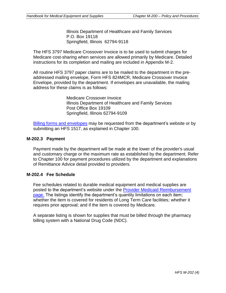Illinois Department of Healthcare and Family Services P.O. Box 19118 Springfield, Illinois 62794-9118

The HFS 3797 Medicare Crossover Invoice is to be used to submit charges for Medicare cost-sharing when services are allowed primarily by Medicare. Detailed instructions for its completion and mailing are included in Appendix M-2.

All routine HFS 3797 paper claims are to be mailed to the department in the preaddressed mailing envelope, Form HFS 824MCR, Medicare Crossover Invoice Envelope, provided by the department. If envelopes are unavailable, the mailing address for these claims is as follows:

> Medicare Crossover Invoice Illinois Department of Healthcare and Family Services Post Office Box 19109 Springfield, Illinois 62794-9109

[Billing forms and envelopes](http://www.illinois.gov/hfs/MedicalProviders/Forms%20Request/Pages/default.aspx) may be requested from the department's website or by submitting an HFS 1517, as explained in Chapter 100.

#### **M-202.3 Payment**

Payment made by the department will be made at the lower of the provider's usual and customary charge or the maximum rate as established by the department. Refer to Chapter 100 for payment procedures utilized by the department and explanations of Remittance Advice detail provided to providers.

#### **M-202.4 Fee Schedule**

Fee schedules related to durable medical equipment and medical supplies are posted to the department's website under the [Provider Medicaid Reimbursement](http://www.illinois.gov/hfs/MedicalProviders/MedicaidReimbursement/Pages/default.aspx)  [page.](http://www.illinois.gov/hfs/MedicalProviders/MedicaidReimbursement/Pages/default.aspx) The listings identify the department's quantity limitations on each item; whether the item is covered for residents of Long Term Care facilities; whether it requires prior approval; and if the item is covered by Medicare.

A separate listing is shown for supplies that must be billed through the pharmacy billing system with a National Drug Code (NDC).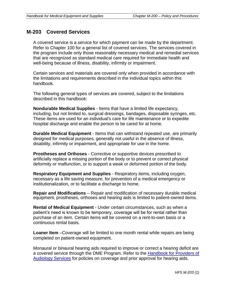## **M-203 Covered Services**

A covered service is a service for which payment can be made by the department. Refer to Chapter 100 for a general list of covered services. The services covered in the program include only those reasonably necessary medical and remedial services that are recognized as standard medical care required for immediate health and well-being because of illness, disability, infirmity or impairment.

Certain services and materials are covered only when provided in accordance with the limitations and requirements described in the individual topics within this handbook.

The following general types of services are covered, subject to the limitations described in this handbook:

**Nondurable Medical Supplies** - Items that have a limited life expectancy, including, but not limited to, surgical dressings, bandages, disposable syringes, etc. These items are used for an individual's care for life maintenance or to expedite hospital discharge and enable the person to be cared for at home.

**Durable Medical Equipment** - Items that can withstand repeated use, are primarily designed for medical purposes, generally not useful in the absence of illness, disability, infirmity or impairment, and appropriate for use in the home.

**Prostheses and Orthoses** - Corrective or supportive devices prescribed to artificially replace a missing portion of the body or to prevent or correct physical deformity or malfunction, or to support a weak or deformed portion of the body.

**Respiratory Equipment and Supplies** - Respiratory items, including oxygen, necessary as a life saving measure, for prevention of a medical emergency or institutionalization, or to facilitate a discharge to home.

**Repair and Modifications** – Repair and modification of necessary durable medical equipment, prostheses, orthoses and hearing aids is limited to patient-owned items.

**Rental of Medical Equipment** - Under certain circumstances, such as when a patient's need is known to be temporary, coverage will be for rental rather than purchase of an item. Certain items will be covered on a rent-to-own basis or a continuous rental basis.

**Loaner Item** –Coverage will be limited to one month rental while repairs are being completed on patient-owned equipment.

Monaural or binaural hearing aids required to improve or correct a hearing deficit are a covered service through the DME Program. Refer to the [Handbook for Providers of](http://www.illinois.gov/hfs/MedicalProviders/Handbooks/Pages/default.aspx)  [Audiology Services](http://www.illinois.gov/hfs/MedicalProviders/Handbooks/Pages/default.aspx) for policies on coverage and prior approval for hearing aids.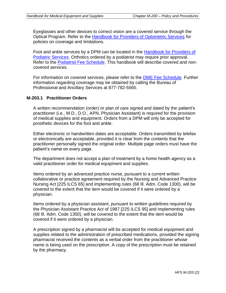Eyeglasses and other devices to correct vision are a covered service through the Optical Program. Refer to the [Handbook for Providers of Optometric Services](http://www.illinois.gov/hfs/MedicalProviders/Handbooks/Pages/default.aspx) for policies on coverage and limitations.

Foot and ankle services by a DPM can be located in the [Handbook for Providers of](http://www.illinois.gov/hfs/MedicalProviders/Handbooks/Pages/default.aspx)  [Podiatric Services.](http://www.illinois.gov/hfs/MedicalProviders/Handbooks/Pages/default.aspx) Orthotics ordered by a podiatrist may require prior approval. Refer to the [Podiatrist Fee Schedule.](http://www.illinois.gov/hfs/MedicalProviders/MedicaidReimbursement/Pages/default.aspx) This handbook will describe covered and noncovered services.

For information on covered services, please refer to the [DME Fee Schedule.](http://www.illinois.gov/hfs/MedicalProviders/MedicaidReimbursement/Pages/default.aspx) Further information regarding coverage may be obtained by calling the Bureau of Professional and Ancillary Services at 877-782-5565.

#### **M-203.1 Practitioner Orders**

A written recommendation (order) or plan of care signed and dated by the patient's practitioner (i.e., M.D., D.O., APN, Physician Assistant) is required for the provision of medical supplies and equipment. Orders from a DPM will only be accepted for prosthetic devices for the foot and ankle.

Either electronic or handwritten dates are acceptable. Orders transmitted by telefax or electronically are acceptable, provided it is clear from the contents that the practitioner personally signed the original order. Multiple page orders must have the patient's name on every page.

The department does not accept a plan of treatment by a home health agency as a valid practitioner order for medical equipment and supplies.

Items ordered by an advanced practice nurse, pursuant to a current written collaborative or practice agreement required by the Nursing and Advanced Practice Nursing Act [225 ILCS 65] and implementing rules (68 Ill. Adm. Code 1300), will be covered to the extent that the item would be covered if it were ordered by a physician.

Items ordered by a physician assistant, pursuant to written guidelines required by the Physician Assistant Practice Act of 1987 [225 ILCS 95] and implementing rules (68 Ill. Adm. Code 1350), will be covered to the extent that the item would be covered if it were ordered by a physician.

A prescription signed by a pharmacist will be accepted for medical equipment and supplies related to the administration of prescribed medications, provided the signing pharmacist received the contents as a verbal order from the practitioner whose name is being used on the prescription. A copy of the prescription must be retained by the pharmacy.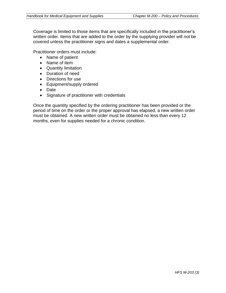Coverage is limited to those items that are specifically included in the practitioner's written order. Items that are added to the order by the supplying provider will not be covered unless the practitioner signs and dates a supplemental order.

Practitioner orders must include:

- Name of patient
- Name of item
- Quantity limitation
- Duration of need
- Directions for use
- Equipment/supply ordered
- Date
- Signature of practitioner with credentials

Once the quantity specified by the ordering practitioner has been provided or the period of time on the order or the proper approval has elapsed, a new written order must be obtained. A new written order must be obtained no less than every 12 months, even for supplies needed for a chronic condition.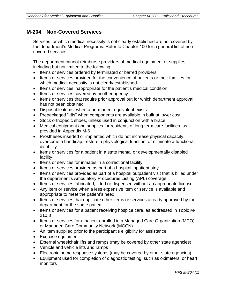## **M-204 Non-Covered Services**

Services for which medical necessity is not clearly established are not covered by the department's Medical Programs. Refer to Chapter 100 for a general list of noncovered services.

The department cannot reimburse providers of medical equipment or supplies, including but not limited to the following:

- Items or services ordered by terminated or barred providers
- Items or services provided for the convenience of patients or their families for which medical necessity is not clearly established
- Items or services inappropriate for the patient's medical condition
- Items or services covered by another agency
- Items or services that require prior approval but for which department approval has not been obtained
- Disposable items, when a permanent equivalent exists
- Prepackaged "kits" when components are available in bulk at lower cost.
- Stock orthopedic shoes, unless used in conjunction with a brace
- Medical equipment and supplies for residents of long term care facilities as provided in Appendix M-6
- Prostheses inserted or implanted which do not increase physical capacity, overcome a handicap, restore a physiological function, or eliminate a functional disability
- Items or services for a patient in a state mental or developmentally disabled facility
- Items or services for inmates in a correctional facility
- Items or services provided as part of a hospital inpatient stay
- Items or services provided as part of a hospital outpatient visit that is billed under the department's Ambulatory Procedures Listing (APL) coverage
- Items or services fabricated, fitted or dispensed without an appropriate license
- Any item or service when a less expensive item or service is available and appropriate to meet the patient's need
- Items or services that duplicate other items or services already approved by the department for the same patient
- Items or services for a patient receiving hospice care, as addressed in Topic M-210.8
- Items or services for a patient enrolled in a Managed Care Organization (MCO) or Managed Care Community Network (MCCN)
- An item supplied prior to the participant's eligibility for assistance.
- Exercise equipment
- External wheelchair lifts and ramps (may be covered by other state agencies)
- Vehicle and vehicle lifts and ramps
- Electronic home response systems (may be covered by other state agencies)
- Equipment used for completion of diagnostic testing, such as oximeters, or heart monitors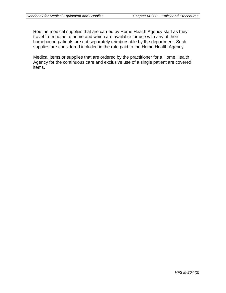Routine medical supplies that are carried by Home Health Agency staff as they travel from home to home and which are available for use with any of their homebound patients are not separately reimbursable by the department. Such supplies are considered included in the rate paid to the Home Health Agency.

Medical items or supplies that are ordered by the practitioner for a Home Health Agency for the continuous care and exclusive use of a single patient are covered items.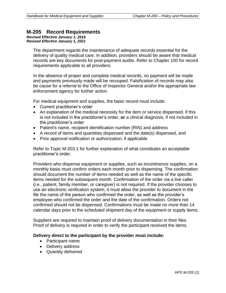### **M-205 Record Requirements**

*Revised Effective January 1, 2016 Revised Effective January 1, 2021*

> The department regards the maintenance of adequate records essential for the delivery of quality medical care. In addition, providers should be aware that medical records are key documents for post-payment audits. Refer to Chapter 100 for record requirements applicable to all providers.

In the absence of proper and complete medical records, no payment will be made and payments previously made will be recouped. Falsification of records may also be cause for a referral to the Office of Inspector General and/or the appropriate law enforcement agency for further action.

For medical equipment and supplies, the basic record must include:

- Current practitioner's order
- An explanation of the medical necessity for the item or service dispensed, if this is not included in the practitioner's order, **or** a clinical diagnosis, if not included in the practitioner's order
- Patient's name, recipient identification number (RIN) and address
- A record of items and quantities dispensed and the date(s) dispensed, and
- Prior approval notification or authorization, if applicable

Refer to Topic M-203.1 for further explanation of what constitutes an acceptable practitioner's order.

Providers who dispense equipment or supplies, such as incontinence supplies, on a monthly basis must confirm orders each month prior to dispensing. The confirmation should document the number of items needed as well as the name of the specific items needed for the subsequent month. Confirmation of the order via a live caller (i.e., patient, family member, or caregiver) is not required. If the provider chooses to use an electronic verification system, it must allow the provider to document in the file the name of the person who confirmed the order, as well as the provider's employee who confirmed the order and the date of the confirmation. Orders not confirmed should not be dispensed. Confirmations must be made no more than 14 calendar days prior to the scheduled shipment day of the equipment or supply items.

Suppliers are required to maintain proof of delivery documentation in their files. Proof of delivery is required in order to verify the participant received the items.

#### **Delivery direct to the participant by the provider must include:**

- Participant name
- Delivery address
- Quantity delivered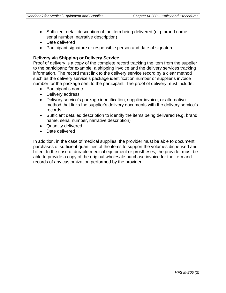- Sufficient detail description of the item being delivered (e.g. brand name, serial number, narrative description)
- Date delivered
- Participant signature or responsible person and date of signature

#### **Delivery via Shipping or Delivery Service**

Proof of delivery is a copy of the complete record tracking the item from the supplier to the participant; for example, a shipping invoice and the delivery services tracking information. The record must link to the delivery service record by a clear method such as the delivery service's package identification number or supplier's invoice number for the package sent to the participant. The proof of delivery must include:

- Participant's name
- Delivery address
- Delivery service's package identification, supplier invoice, or alternative method that links the supplier's delivery documents with the delivery service's records
- Sufficient detailed description to identify the items being delivered (e.g. brand name, serial number, narrative description)
- Quantity delivered
- Date delivered

In addition, in the case of medical supplies, the provider must be able to document purchases of sufficient quantities of the items to support the volumes dispensed and billed. In the case of durable medical equipment or prostheses, the provider must be able to provide a copy of the original wholesale purchase invoice for the item and records of any customization performed by the provider.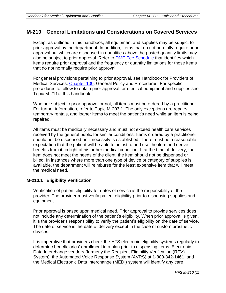## **M-210 General Limitations and Considerations on Covered Services**

Except as outlined in this handbook, all equipment and supplies may be subject to prior approval by the department. In addition, items that do not normally require prior approval but which are dispensed in quantities above the posted quantity limits may also be subject to prior approval. Refer to [DME Fee Schedule](http://www.illinois.gov/hfs/MedicalProviders/MedicaidReimbursement/Pages/default.aspx) that identifies which items require prior approval and the frequency or quantity limitations for those items that do not normally require prior approval.

For general provisions pertaining to prior approval, see Handbook for Providers of Medical Services, [Chapter 100,](http://www.illinois.gov/hfs/MedicalProviders/Handbooks/Pages/Chapter100.aspx) General Policy and Procedures. For specific procedures to follow to obtain prior approval for medical equipment and supplies see Topic M-211of this handbook.

Whether subject to prior approval or not, all items must be ordered by a practitioner. For further information, refer to Topic M-203.1. The only exceptions are repairs, temporary rentals, and loaner items to meet the patient's need while an item is being repaired.

All items must be medically necessary and must not exceed health care services received by the general public for similar conditions. Items ordered by a practitioner should not be dispensed until necessity is established. There must be a reasonable expectation that the patient will be able to adjust to and use the item and derive benefits from it, in light of his or her medical condition. If at the time of delivery, the item does not meet the needs of the client, the item should not be dispensed or billed. In instances where more than one type of device or category of supplies is available, the department will reimburse for the least expensive item that will meet the medical need.

#### **M-210.1 Eligibility Verification**

Verification of patient eligibility for dates of service is the responsibility of the provider. The provider must verify patient eligibility prior to dispensing supplies and equipment.

Prior approval is based upon medical need. Prior approval to provide services does not include any determination of the patient's eligibility. When prior approval is given, it is the provider's responsibility to verify the patient's eligibility on the date of service. The date of service is the date of delivery except in the case of custom prosthetic devices.

It is imperative that providers check the HFS electronic eligibility systems regularly to determine beneficiaries' enrollment in a plan prior to dispensing items. Electronic Data Interchange vendors (formerly the Recipient Eligibility Verification (REV) System), the Automated Voice Response System (AVRS) at 1-800-842-1461, and the Medical Electronic Data Interchange (MEDI) system will identify any care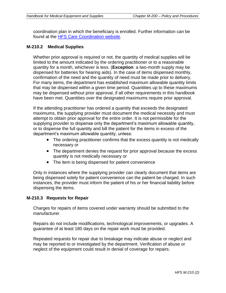coordination plan in which the beneficiary is enrolled. Further information can be found at the [HFS Care Coordination website.](http://www.illinois.gov/hfs/MedicalProviders/cc/Pages/default.aspx)

#### **M-210.2 Medical Supplies**

Whether prior approval is required or not, the quantity of medical supplies will be limited to the amount indicated by the ordering practitioner or to a reasonable quantity for a month, whichever is less. (**Exception**: a two-month supply may be dispensed for batteries for hearing aids). In the case of items dispensed monthly, confirmation of the need and the quantity of need must be made prior to delivery. For many items, the department has established maximum allowable quantity limits that may be dispensed within a given time period. Quantities up to these maximums may be dispensed without prior approval, if all other requirements in this handbook have been met. Quantities over the designated maximums require prior approval.

If the attending practitioner has ordered a quantity that exceeds the designated maximums, the supplying provider must document the medical necessity and must attempt to obtain prior approval for the entire order. It is not permissible for the supplying provider to dispense only the department's maximum allowable quantity, or to dispense the full quantity and bill the patient for the items in excess of the department's maximum allowable quantity, unless:

- The ordering practitioner confirms that the excess quantity is not medically necessary or
- The department denies the request for prior approval because the excess quantity is not medically necessary or
- The item is being dispensed for patient convenience

Only in instances where the supplying provider can clearly document that items are being dispensed solely for patient convenience can the patient be charged. In such instances, the provider must inform the patient of his or her financial liability before dispensing the items.

#### **M-210.3 Requests for Repair**

Charges for repairs of items covered under warranty should be submitted to the manufacturer.

Repairs do not include modifications, technological improvements, or upgrades. A guarantee of at least 180 days on the repair work must be provided.

Repeated requests for repair due to breakage may indicate abuse or neglect and may be reported to or investigated by the department. Verification of abuse or neglect of the equipment could result in denial of coverage for repairs.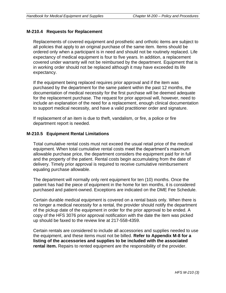#### **M-210.4 Requests for Replacement**

Replacements of covered equipment and prosthetic and orthotic items are subject to all policies that apply to an original purchase of the same item. Items should be ordered only when a participant is in need and should not be routinely replaced. Life expectancy of medical equipment is four to five years. In addition, a replacement covered under warranty will not be reimbursed by the department. Equipment that is in working order should not be replaced although it may have exceeded its life expectancy.

If the equipment being replaced requires prior approval and if the item was purchased by the department for the same patient within the past 12 months, the documentation of medical necessity for the first purchase will be deemed adequate for the replacement purchase. The request for prior approval will, however, need to include an explanation of the need for a replacement, enough clinical documentation to support medical necessity, and have a valid practitioner order and signature.

If replacement of an item is due to theft, vandalism, or fire, a police or fire department report is needed.

#### **M-210.5 Equipment Rental Limitations**

Total cumulative rental costs must not exceed the usual retail price of the medical equipment. When total cumulative rental costs meet the department's maximum allowable purchase price, the department considers the equipment paid for in full and the property of the patient. Rental costs begin accumulating from the date of delivery. Timely prior approval is required to receive cumulative reimbursement equaling purchase allowable.

The department will normally only rent equipment for ten (10) months. Once the patient has had the piece of equipment in the home for ten months, it is considered purchased and patient-owned. Exceptions are indicated on the DME Fee Schedule.

Certain durable medical equipment is covered on a rental basis only. When there is no longer a medical necessity for a rental, the provider should notify the department of the pickup date of the equipment in order for the prior approval to be ended. A copy of the HFS 3076 prior approval notification with the date the item was picked up should be faxed to the review line at 217-558-4359.

Certain rentals are considered to include all accessories and supplies needed to use the equipment, and these items must not be billed. **Refer to Appendix M-8 for a listing of the accessories and supplies to be included with the associated rental item.** Repairs to rented equipment are the responsibility of the provider.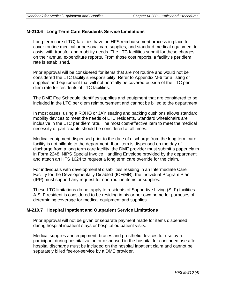#### **M-210.6 Long Term Care Residents Service Limitations**

Long term care (LTC) facilities have an HFS reimbursement process in place to cover routine medical or personal care supplies, and standard medical equipment to assist with transfer and mobility needs. The LTC facilities submit for these charges on their annual expenditure reports. From those cost reports, a facility's per diem rate is established.

Prior approval will be considered for items that are not routine and would not be considered the LTC facility's responsibility. Refer to Appendix M-6 for a listing of supplies and equipment that will not normally be covered outside of the LTC per diem rate for residents of LTC facilities.

The DME Fee Schedule identifies supplies and equipment that are considered to be included in the LTC per diem reimbursement and cannot be billed to the department.

In most cases, using a ROHO or JAY seating and backing cushions allows standard mobility devices to meet the needs of LTC residents. Standard wheelchairs are inclusive in the LTC per diem rate. The most cost-effective item to meet the medical necessity of participants should be considered at all times.

Medical equipment dispensed prior to the date of discharge from the long term care facility is not billable to the department. If an item is dispensed on the day of discharge from a long term care facility, the DME provider must submit a paper claim in Form 2248, NIPS Special Invoice Handling Envelope provided by the department, and attach an HFS 1624 to request a long term care override for the claim.

For individuals with developmental disabilities residing in an Intermediate Care Facility for the Developmentally Disabled (ICF/MR), the Individual Program Plan (IPP) must support any request for non-routine items or supplies.

These LTC limitations do not apply to residents of Supportive Living (SLF) facilities. A SLF resident is considered to be residing in his or her own home for purposes of determining coverage for medical equipment and supplies.

#### **M-210.7 Hospital Inpatient and Outpatient Service Limitations**

Prior approval will not be given or separate payment made for items dispensed during hospital inpatient stays or hospital outpatient visits.

Medical supplies and equipment, braces and prosthetic devices for use by a participant during hospitalization or dispensed in the hospital for continued use after hospital discharge must be included on the hospital inpatient claim and cannot be separately billed fee-for-service by a DME provider.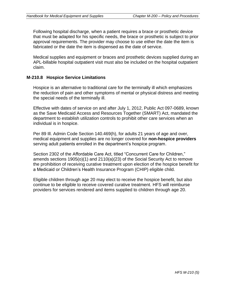Following hospital discharge, when a patient requires a brace or prosthetic device that must be adapted for his specific needs, the brace or prosthetic is subject to prior approval requirements. The provider may choose to use either the date the item is fabricated or the date the item is dispensed as the date of service.

Medical supplies and equipment or braces and prosthetic devices supplied during an APL-billable hospital outpatient visit must also be included on the hospital outpatient claim.

#### **M-210.8 Hospice Service Limitations**

Hospice is an alternative to traditional care for the terminally ill which emphasizes the reduction of pain and other symptoms of mental or physical distress and meeting the special needs of the terminally ill.

Effective with dates of service on and after July 1, 2012, Public Act 097-0689, known as the Save Medicaid Access and Resources Together (SMART) Act, mandated the department to establish utilization controls to prohibit other care services when an individual is in hospice.

Per 89 Ill. Admin Code Section 140.469(h), for adults 21 years of age and over, medical equipment and supplies are no longer covered for **non-hospice providers** serving adult patients enrolled in the department's hospice program.

Section 2302 of the Affordable Care Act, titled "Concurrent Care for Children," amends sections 1905(o)(1) and 2110(a)(23) of the Social Security Act to remove the prohibition of receiving curative treatment upon election of the hospice benefit for a Medicaid or Children's Health Insurance Program (CHIP) eligible child.

Eligible children through age 20 may elect to receive the hospice benefit, but also continue to be eligible to receive covered curative treatment. HFS will reimburse providers for services rendered and items supplied to children through age 20.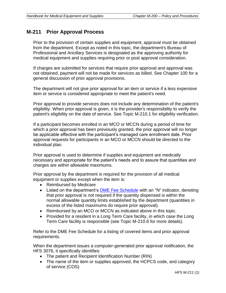## **M-211 Prior Approval Process**

Prior to the provision of certain supplies and equipment, approval must be obtained from the department. Except as noted in this topic, the department's Bureau of Professional and Ancillary Services is designated as the approving authority for medical equipment and supplies requiring prior or post approval consideration.

If charges are submitted for services that require prior approval and approval was not obtained, payment will not be made for services as billed. See Chapter 100 for a general discussion of prior approval provisions.

The department will not give prior approval for an item or service if a less expensive item or service is considered appropriate to meet the patient's need.

Prior approval to provide services does not include any determination of the patient's eligibility. When prior approval is given, it is the provider's responsibility to verify the patient's eligibility on the date of service. See Topic M-210.1 for eligibility verification.

If a participant becomes enrolled in an MCO or MCCN during a period of time for which a prior approval has been previously granted, the prior approval will no longer be applicable effective with the participant's managed care enrollment date. Prior approval requests for participants in an MCO or MCCN should be directed to the individual plan.

Prior approval is used to determine if supplies and equipment are medically necessary and appropriate for the patient's needs and to assure that quantities and charges are within allowable maximums.

Prior approval by the department is required for the provision of all medical equipment or supplies except when the item is:

- Reimbursed by Medicare
- Listed on the department's [DME Fee Schedule](http://www.illinois.gov/hfs/MedicalProviders/MedicaidReimbursement/Pages/default.aspx) with an "N" indicator, denoting that prior approval is not required if the quantity dispensed is within the normal allowable quantity limits established by the department (quantities in excess of the listed maximums do require prior approval).
- Reimbursed by an MCO or MCCN as indicated above in this topic.
- Provided for a resident in a Long Term Care facility, in which case the Long Term Care facility is responsible (see Topic M-210.6 for more details).

Refer to the DME Fee Schedule for a listing of covered items and prior approval requirements.

When the department issues a computer-generated prior approval notification, the HFS 3076, it specifically identifies:

- The patient and Recipient Identification Number (RIN)
- The name of the item or supplies approved, the HCPCS code, and category of service (COS)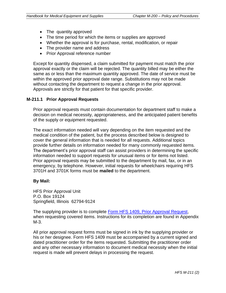- The quantity approved
- The time period for which the items or supplies are approved
- Whether the approval is for purchase, rental, modification, or repair
- The provider name and address
- Prior Approval reference number

Except for quantity dispensed, a claim submitted for payment must match the prior approval exactly or the claim will be rejected. The quantity billed may be either the same as or less than the maximum quantity approved. The date of service must be within the approved prior approval date range. Substitutions may not be made without contacting the department to request a change in the prior approval. Approvals are strictly for that patient for that specific provider.

#### **M-211.1 Prior Approval Requests**

Prior approval requests must contain documentation for department staff to make a decision on medical necessity, appropriateness, and the anticipated patient benefits of the supply or equipment requested.

The exact information needed will vary depending on the item requested and the medical condition of the patient, but the process described below is designed to cover the general information that is needed for all requests. Additional topics provide further details on information needed for many commonly requested items. The department's prior approval staff can assist providers in determining the specific information needed to support requests for unusual items or for items not listed. Prior approval requests may be submitted to the department by mail, fax, or in an emergency, by telephone. However, initial requests for wheelchairs requiring HFS 3701H and 3701K forms must be **mailed** to the department.

#### **By Mail:**

HFS Prior Approval Unit P.O. Box 19124 Springfield, Illinois 62794-9124

The supplying provider is to complete [Form HFS 1409, Prior Approval Request,](http://www.illinois.gov/hfs/info/Brochures%20and%20Forms/Pages/medicalformsnumeric.aspx) when requesting covered items. Instructions for its completion are found in Appendix M-3.

All prior approval request forms must be signed in ink by the supplying provider or his or her designee. Form HFS 1409 must be accompanied by a current signed and dated practitioner order for the items requested. Submitting the practitioner order and any other necessary information to document medical necessity when the initial request is made will prevent delays in processing the request.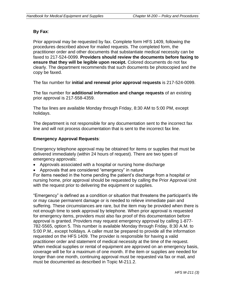#### **By Fax**:

Prior approval may be requested by fax. Complete form HFS 1409, following the procedures described above for mailed requests. The completed form, the practitioner order and other documents that substantiate medical necessity can be faxed to 217-524-0099. **Providers should review the documents before faxing to ensure that they will be legible upon receipt.** Colored documents do not fax clearly. The department recommends that such documents be photocopied and the copy be faxed.

The fax number for **initial and renewal prior approval requests** is 217-524-0099.

The fax number for **additional information and change requests** of an existing prior approval is 217-558-4359.

The fax lines are available Monday through Friday, 8:30 AM to 5:00 PM, except holidays.

The department is not responsible for any documentation sent to the incorrect fax line and will not process documentation that is sent to the incorrect fax line.

#### **Emergency Approval Requests**:

Emergency telephone approval may be obtained for items or supplies that must be delivered immediately (within 24 hours of request). There are two types of emergency approvals:

- Approvals associated with a hospital or nursing home discharge
- Approvals that are considered "emergency" in nature

For items needed in the home pending the patient's discharge from a hospital or nursing home, prior approval should be requested by calling the Prior Approval Unit with the request prior to delivering the equipment or supplies.

"Emergency" is defined as a condition or situation that threatens the participant's life or may cause permanent damage or is needed to relieve immediate pain and suffering. These circumstances are rare, but the item may be provided when there is not enough time to seek approval by telephone. When prior approval is requested for emergency items, providers must also fax proof of this documentation before approval is granted. Providers may request emergency approval by calling 1-877- 782-5565, option 5. This number is available Monday through Friday, 8:30 A.M. to 5:00 P.M., except holidays. A caller must be prepared to provide all the information requested on the HFS 1409. The provider is responsible for having a valid practitioner order and statement of medical necessity at the time of the request. When medical supplies or rental of equipment are approved on an emergency basis, coverage will be for a maximum of one month. If the item or supplies are needed for longer than one month, continuing approval must be requested via fax or mail, and must be documented as described in Topic M-211.2.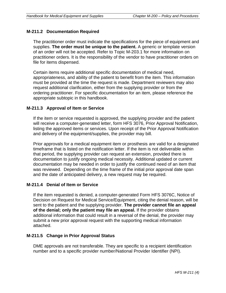#### **M-211.2 Documentation Required**

The practitioner order must indicate the specifications for the piece of equipment and supplies. **The order must be unique to the patient.** A generic or template version of an order will not be accepted. Refer to Topic M-203.1 for more information on practitioner orders. It is the responsibility of the vendor to have practitioner orders on file for items dispensed.

Certain items require additional specific documentation of medical need, appropriateness, and ability of the patient to benefit from the item. This information must be provided at the time the request is made. Department reviewers may also request additional clarification, either from the supplying provider or from the ordering practitioner. For specific documentation for an item, please reference the appropriate subtopic in this handbook.

#### **M-211.3 Approval of Item or Service**

If the item or service requested is approved, the supplying provider and the patient will receive a computer-generated letter, form HFS 3076, Prior Approval Notification, listing the approved items or services. Upon receipt of the Prior Approval Notification and delivery of the equipment/supplies, the provider may bill.

Prior approvals for a medical equipment item or prosthesis are valid for a designated timeframe that is listed on the notification letter. If the item is not deliverable within that period, the supplying provider can request an extension, provided there is documentation to justify ongoing medical necessity. Additional updated or current documentation may be needed in order to justify the continued need of an item that was reviewed. Depending on the time frame of the initial prior approval date span and the date of anticipated delivery, a new request may be required.

#### **M-211.4 Denial of Item or Service**

If the item requested is denied, a computer-generated Form HFS 3076C, Notice of Decision on Request for Medical Service/Equipment, citing the denial reason, will be sent to the patient and the supplying provider. **The provider cannot file an appeal of the denial; only the patient may file an appeal.** If the provider obtains additional information that could result in a reversal of the denial, the provider may submit a new prior approval request with the supporting medical information attached.

#### **M-211.5 Change in Prior Approval Status**

DME approvals are not transferable. They are specific to a recipient identification number and to a specific provider number/National Provider Identifier (NPI).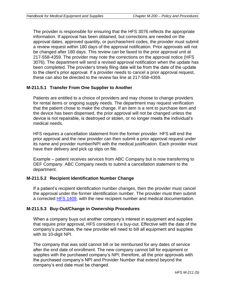The provider is responsible for ensuring that the HFS 3076 reflects the appropriate information. If approval has been obtained, but corrections are needed on the approval dates, approved quantity, or purchase/rent codes, the provider must submit a review request within 180 days of the approval notification. Prior approvals will not be changed after 180 days. This review can be faxed to the prior approval unit at 217-558-4359. The provider may note the corrections on the approval notice (HFS 3076). The department will send a revised approval notification when the update has been completed. The provider's timely filing date will be from the date of the update to the client's prior approval. If a provider needs to cancel a prior approval request, these can also be directed to the review fax line at 217-558-4359.

#### **M-211.5.1 Transfer From One Supplier to Another**

Patients are entitled to a choice of providers and may choose to change providers for rental items or ongoing supply needs. The department may request verification that the patient chose to make the change. If an item is a rent to purchase item and the device has been dispensed, the prior approval will not be changed unless the device is not repairable, is destroyed or stolen, or no longer meets the individual's medical needs.

HFS requires a cancellation statement from the former provider. HFS will end the prior approval and the new provider can then submit a prior approval request under its name and provider number/NPI with the medical justification. Each provider must have their delivery and pick up slips on file.

Example – patient receives services from ABC Company but is now transferring to DEF Company. ABC Company needs to submit a cancellation statement to the department.

#### **M-211.5.2 Recipient Identification Number Change**

If a patient's recipient identification number changes, then the provider must cancel the approval under the former identification number. The provider must then submit a corrected [HFS 1409,](http://www.illinois.gov/hfs/info/Brochures%20and%20Forms/Pages/medicalformsnumeric.aspx) with the new recipient number and medical documentation.

#### **M-211.5.3 Buy-Out/Change in Ownership Procedures**

When a company buys out another company's interest in equipment and supplies that require prior approval, HFS considers it a buy-out. Effective with the date of the company's purchase, the new provider will need to bill all equipment and supplies with its 10-digit NPI.

The company that was sold cannot bill or be reimbursed for any dates of service after the end date of enrollment. The new company cannot bill for equipment or supplies with the purchased company's NPI; therefore, all the prior approvals with the purchased company's NPI and Provider Number that extend beyond the company's end date must be changed.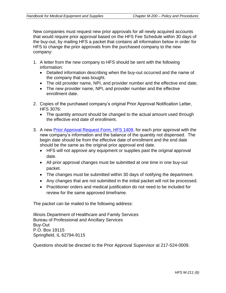New companies must request new prior approvals for all newly acquired accounts that would require prior approval based on the HFS Fee Schedule within 30 days of the buy-out, by mailing HFS a packet that contains all information below in order for HFS to change the prior approvals from the purchased company to the new company:

- 1. A letter from the new company to HFS should be sent with the following information:
	- Detailed information describing when the buy-out occurred and the name of the company that was bought.
	- The old provider name, NPI, and provider number and the effective end date;
	- The new provider name, NPI, and provider number and the effective enrollment date.
- 2. Copies of the purchased company's original Prior Approval Notification Letter, HFS 3076:
	- The quantity amount should be changed to the actual amount used through the effective end date of enrollment.
- 3. A new [Prior Approval Request Form, HFS 1409,](http://www.illinois.gov/hfs/info/Brochures%20and%20Forms/Pages/medicalformsnumeric.aspx) for each prior approval with the new company's information and the balance of the quantity not dispensed. The begin date should be from the effective date of enrollment and the end date should be the same as the original prior approval end date.
	- HFS will not approve any equipment or supplies past the original approval date.
	- All prior approval changes must be submitted at one time in one buy-out packet.
	- The changes must be submitted within 30 days of notifying the department.
	- Any changes that are not submitted in the initial packet will not be processed.
	- Practitioner orders and medical justification do not need to be included for review for the same approved timeframe.

The packet can be mailed to the following address:

Illinois Department of Healthcare and Family Services Bureau of Professional and Ancillary Services Buy-Out P.O. Box 19115 Springfield, IL 62794-9115

Questions should be directed to the Prior Approval Supervisor at 217-524-0009.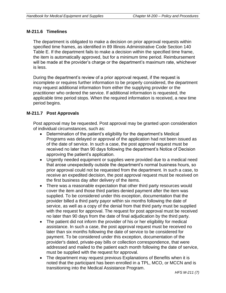#### **M-211.6 Timelines**

The department is obligated to make a decision on prior approval requests within specified time frames, as identified in 89 Illinois Administrative Code Section 140 Table E. If the department fails to make a decision within the specified time frame, the item is automatically approved, but for a minimum time period. Reimbursement will be made at the provider's charge or the department's maximum rate, whichever is less.

During the department's review of a prior approval request, if the request is incomplete or requires further information to be properly considered, the department may request additional information from either the supplying provider or the practitioner who ordered the service. If additional information is requested, the applicable time period stops. When the required information is received, a new time period begins.

#### **M-211.7 Post Approvals**

Post approval may be requested. Post approval may be granted upon consideration of individual circumstances, such as:

- Determination of the patient's eligibility for the department's Medical Programs was delayed or approval of the application had not been issued as of the date of service. In such a case, the post approval request must be received no later than 90 days following the department's Notice of Decision approving the patient's application.
- Urgently needed equipment or supplies were provided due to a medical need that arose unexpectedly outside the department's normal business hours, so prior approval could not be requested from the department. In such a case, to receive an expedited decision, the post approval request must be received on the first business day after delivery of the items.
- There was a reasonable expectation that other third party resources would cover the item and those third parties denied payment after the item was supplied. To be considered under this exception, documentation that the provider billed a third party payor within six months following the date of service, as well as a copy of the denial from that third party must be supplied with the request for approval. The request for post approval must be received no later than 90 days from the date of final adjudication by the third party.
- The patient did not inform the provider of his or her eligibility for medical assistance. In such a case, the post approval request must be received no later than six months following the date of service to be considered for payment. To be considered under this exception, documentation of the provider's dated, private-pay bills or collection correspondence, that were addressed and mailed to the patient each month following the date of service, must be supplied with the request for approval.
- The department may request previous Explanations of Benefits when it is noted that the participant has been enrolled in a TPL, MCO, or MCCN and is transitioning into the Medical Assistance Program.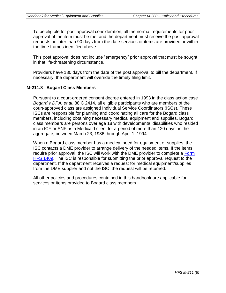To be eligible for post approval consideration, all the normal requirements for prior approval of the item must be met and the department must receive the post approval requests no later than 90 days from the date services or items are provided or within the time frames identified above.

This post approval does not include "emergency" prior approval that must be sought in that life-threatening circumstance.

Providers have 180 days from the date of the post approval to bill the department. If necessary, the department will override the timely filing limit.

#### **M-211.8 Bogard Class Members**

Pursuant to a court-ordered consent decree entered in 1993 in the class action case *Bogard v DPA, et al*, 88 C 2414, all eligible participants who are members of the court-approved class are assigned Individual Service Coordinators (ISCs). These ISCs are responsible for planning and coordinating all care for the Bogard class members, including obtaining necessary medical equipment and supplies. Bogard class members are persons over age 18 with developmental disabilities who resided in an ICF or SNF as a Medicaid client for a period of more than 120 days, in the aggregate, between March 23, 1986 through April 1, 1994.

When a Bogard class member has a medical need for equipment or supplies, the ISC contacts a DME provider to arrange delivery of the needed items. If the items require prior approval, the ISC will work with the DME provider to complete a Form [HFS 1409.](http://www.illinois.gov/hfs/info/Brochures%20and%20Forms/Pages/medicalformsnumeric.aspx) The ISC is responsible for submitting the prior approval request to the department. If the department receives a request for medical equipment/supplies from the DME supplier and not the ISC, the request will be returned.

All other policies and procedures contained in this handbook are applicable for services or items provided to Bogard class members.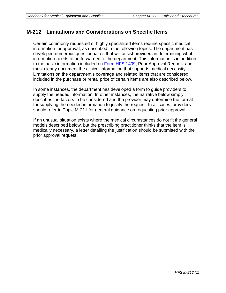## **M-212 Limitations and Considerations on Specific Items**

Certain commonly requested or highly specialized items require specific medical information for approval, as described in the following topics. The department has developed numerous questionnaires that will assist providers in determining what information needs to be forwarded to the department. This information is in addition to the basic information included on [Form HFS 1409,](http://www.illinois.gov/hfs/info/Brochures%20and%20Forms/Pages/medicalformsnumeric.aspx) Prior Approval Request and must clearly document the clinical information that supports medical necessity. Limitations on the department's coverage and related items that are considered included in the purchase or rental price of certain items are also described below.

In some instances, the department has developed a form to guide providers to supply the needed information. In other instances, the narrative below simply describes the factors to be considered and the provider may determine the format for supplying the needed information to justify the request. In all cases, providers should refer to Topic M-211 for general guidance on requesting prior approval.

If an unusual situation exists where the medical circumstances do not fit the general models described below, but the prescribing practitioner thinks that the item is medically necessary, a letter detailing the justification should be submitted with the prior approval request.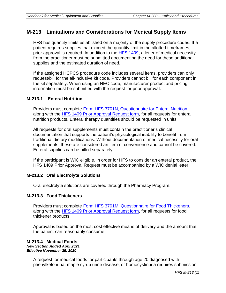## **M-213 Limitations and Considerations for Medical Supply Items**

HFS has quantity limits established on a majority of the supply procedure codes. If a patient requires supplies that exceed the quantity limit in the allotted timeframes, prior approval is required. In addition to the **HFS 1409**, a letter of medical necessity from the practitioner must be submitted documenting the need for these additional supplies and the estimated duration of need.

If the assigned HCPCS procedure code includes several items, providers can only request/bill for the all-inclusive kit code. Providers cannot bill for each component in the kit separately. When using an NEC code, manufacturer product and pricing information must be submitted with the request for prior approval.

#### **M-213.1 Enteral Nutrition**

Providers must complete [Form HFS 3701N, Questionnaire for Enteral Nutrition,](http://www.illinois.gov/hfs/info/Brochures%20and%20Forms/Pages/medicalformsnumeric.aspx) along with the [HFS 1409 Prior Approval Request form,](http://www.illinois.gov/hfs/info/Brochures%20and%20Forms/Pages/medicalformsnumeric.aspx) for all requests for enteral nutrition products. Enteral therapy quantities should be requested in units.

All requests for oral supplements must contain the practitioner's clinical documentation that supports the patient's physiological inability to benefit from traditional dietary modifications. Without documentation of medical necessity for oral supplements, these are considered an item of convenience and cannot be covered. Enteral supplies can be billed separately.

If the participant is WIC eligible, in order for HFS to consider an enteral product, the HFS 1409 Prior Approval Request must be accompanied by a WIC denial letter.

#### **M-213.2 Oral Electrolyte Solutions**

Oral electrolyte solutions are covered through the Pharmacy Program.

#### **M-213.3 Food Thickeners**

Providers must complete [Form HFS 3701M, Questionnaire for Food Thickeners,](http://www.illinois.gov/hfs/info/Brochures%20and%20Forms/Pages/medicalformsnumeric.aspx) along with the [HFS 1409 Prior Approval Request form,](http://www.illinois.gov/hfs/info/Brochures%20and%20Forms/Pages/medicalformsnumeric.aspx) for all requests for food thickener products.

Approval is based on the most cost effective means of delivery and the amount that the patient can reasonably consume.

#### **M-213.4 Medical Foods** *New Section Added April 2021 Effective November 25, 2020*

A request for medical foods for participants through age 20 diagnosed with phenylketonuria, maple syrup urine disease, or homocystinuria requires submission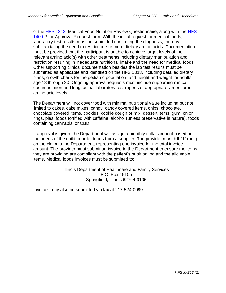of the [HFS 1313,](https://www.illinois.gov/hfs/info/Brochures%20and%20Forms/Pages/medicalformsnumeric.aspx) Medical Food Nutrition Review Questionnaire, along with the [HFS](https://www.illinois.gov/hfs/info/Brochures%20and%20Forms/Pages/medicalformsnumeric.aspx)  [1409](https://www.illinois.gov/hfs/info/Brochures%20and%20Forms/Pages/medicalformsnumeric.aspx) Prior Approval Request form. With the initial request for medical foods, laboratory test results must be submitted confirming the diagnosis, thereby substantiating the need to restrict one or more dietary amino acids. Documentation must be provided that the participant is unable to achieve target levels of the relevant amino acid(s) with other treatments including dietary manipulation and restriction resulting in inadequate nutritional intake and the need for medical foods. Other supporting clinical documentation besides the lab test results must be submitted as applicable and identified on the HFS 1313, including detailed dietary plans, growth charts for the pediatric population, and height and weight for adults age 18 through 20. Ongoing approval requests must include supporting clinical documentation and longitudinal laboratory test reports of appropriately monitored amino acid levels.

The Department will not cover food with minimal nutritional value including but not limited to cakes, cake mixes, candy, candy covered items, chips, chocolate, chocolate covered items, cookies, cookie dough or mix, dessert items, gum, onion rings, pies, foods fortified with caffeine, alcohol (unless preservative in nature), foods containing cannabis, or CBD.

If approval is given, the Department will assign a monthly dollar amount based on the needs of the child to order foods from a supplier. The provider must bill "1" (unit) on the claim to the Department, representing one invoice for the total invoice amount. The provider must submit an invoice to the Department to ensure the items they are providing are compliant with the patient's nutrition log and the allowable items. Medical foods invoices must be submitted to:

> Illinois Department of Healthcare and Family Services P.O. Box 19105 Springfield, Illinois 62794-9105

Invoices may also be submitted via fax at 217-524-0099.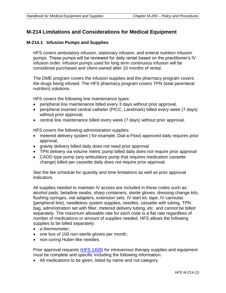## **M-214 Limitations and Considerations for Medical Equipment**

#### **M-214.1 Infusion Pumps and Supplies**

HFS covers ambulatory infusion, stationary infusion, and enteral nutrition infusion pumps. These pumps will be reviewed for daily rental based on the practitioner's IV infusion order. Infusion pumps used for long term continuous infusion will be considered purchased and client-owned after 10 months of rental.

The DME program covers the infusion supplies and the pharmacy program covers the drugs being infused. The HFS pharmacy program covers TPN (total parenteral nutrition) solutions.

HFS covers the following line maintenance types:

- peripheral line maintenance billed every 3 days without prior approval,
- peripheral inserted central catheter (PICC, Landmark) billed every week (7 days) without prior approval,
- central line maintenance billed every week (7 days) without prior approval.

HFS covers the following administration supplies:

- metered delivery system ( for example, Dial-a-Flow) approved daily requires prior approval,
- gravity delivery billed daily does not need prior approval
- TPN delivery via volume metric pump billed daily does not require prior approval
- CADD type pump (any ambulatory pump that requires medication cassette change) billed per cassette daily does not require prior approval.

See the fee schedule for quantity and time limitations as well as prior approval indicators.

All supplies needed to maintain IV access are included in these codes such as: alcohol pads, betadine swabs, sharp containers, sterile gloves, dressing change kits, flushing syringes, vial adapters, extension sets, IV start kit, tape, IV cannulas (peripheral line), needleless system supplies, needles, cassette with tubing, TPN bag, administration set with filter, metered delivery tubing, etc. and cannot be billed separately. The maximum allowable rate for each code is a flat rate regardless of number of medications or amount of supplies needed. HFS allows the following supplies to be billed separately:

- a thermometer:
- one box of 100 non-sterile gloves per month;
- non-coring Huber-like needles.

Prior approval requests [\(HFS 1409\)](http://www.illinois.gov/hfs/info/Brochures%20and%20Forms/Pages/medicalformsnumeric.aspx) for intravenous therapy supplies and equipment must be complete and specific including the following information:

• All medications to be given, listed by name and not category.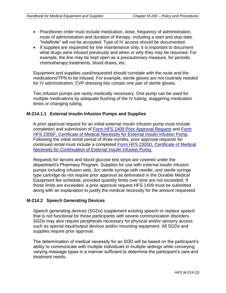- Practitioner order must include medication, dose, frequency of administration, route of administration and duration of therapy, including a start and stop date. "Indefinite" will not be accepted. Type of IV access should be documented.
- If supplies are requested for line maintenance only, it is important to document what drugs were infused previously and when or why they may be resumed. For example, the line may be kept open as a precautionary measure, for periodic chemotherapy treatments, blood draws, etc.

Equipment and supplies used/requested should correlate with the route and the medications/TPN to be infused. For example, sterile gloves are not routinely needed for IV administration; CVP dressing kits contain one pair of sterile gloves.

Two infusion pumps are rarely medically necessary. One pump can be used for multiple medications by adequate flushing of the IV tubing, staggering medication times or changing tubing.

#### **M-214.1.1 External Insulin Infusion Pumps and Supplies**

A prior approval request for an initial external insulin infusion pump must include completion and submission of [Form HFS 1409 Prior Approval Request](http://www.illinois.gov/hfs/info/Brochures%20and%20Forms/Pages/medicalformsnumeric.aspx) and [Form](http://www.illinois.gov/hfs/info/Brochures%20and%20Forms/Pages/medicalformsnumeric.aspx)  [HFS 2305F, Certificate of Medical Necessity for External Insulin Infusion Pump.](http://www.illinois.gov/hfs/info/Brochures%20and%20Forms/Pages/medicalformsnumeric.aspx) Following the initial rental period of three months, prior approval requests for continued rental must include a completed Form HFS 2305D, Certificate of Medical [Necessity for Continuation of External Insulin Infusion Pump.](http://www.illinois.gov/hfs/info/Brochures%20and%20Forms/Pages/medicalformsnumeric.aspx) 

Requests for lancets and blood glucose test strips are covered under the department's Pharmacy Program. Supplies for use with external insulin infusion pumps including infusion sets, 3cc sterile syringe with needle, and sterile syringe type cartridge do not require prior approval as delineated in the Durable Medical Equipment fee schedule, provided quantity limits over time are not exceeded. If those limits are exceeded, a prior approval request HFS 1409 must be submitted along with an explanation to justify the medical necessity for the amount requested.

#### **M-214.2 Speech Generating Devices**

Speech generating devices (SGDs) supplement existing speech or replace speech that is not functional for those participants with severe communication disorders. SGDs may also require peripherals necessary for physical and/or sensory access such as special input/output devices and/or mounting equipment. All SGDs and supplies require prior approval.

The determination of medical necessity for an SGD will be based on the participant's ability to communicate with multiple individuals in multiple settings while conveying varying message types in a manner sufficient to determine the participant's care and treatment needs.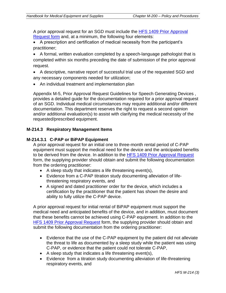A prior approval request for an SGD must include the [HFS 1409 Prior Approval](http://www.illinois.gov/hfs/info/Brochures%20and%20Forms/Pages/medicalformsnumeric.aspx)  [Request form](http://www.illinois.gov/hfs/info/Brochures%20and%20Forms/Pages/medicalformsnumeric.aspx) and, at a minimum, the following four elements:

• A prescription and certification of medical necessity from the participant's practitioner;

• A formal, written evaluation completed by a speech-language pathologist that is completed within six months preceding the date of submission of the prior approval request.

• A descriptive, narrative report of successful trial use of the requested SGD and any necessary components needed for utilization;

• An individual treatment and implementation plan

Appendix M-5, Prior Approval Request Guidelines for Speech Generating Devices , provides a detailed guide for the documentation required for a prior approval request of an SGD. Individual medical circumstances may require additional and/or different documentation. This department reserves the right to request a second opinion and/or additional evaluation(s) to assist with clarifying the medical necessity of the requested/prescribed equipment.

#### **M-214.3 Respiratory Management Items**

#### **M-214.3.1 C-PAP or BiPAP Equipment**

A prior approval request for an initial one to three-month rental period of C-PAP equipment must support the medical need for the device and the anticipated benefits to be derived from the device. In addition to the HFS 1409 Prior [Approval Request](http://www.illinois.gov/hfs/info/Brochures%20and%20Forms/Pages/medicalformsnumeric.aspx) form, the supplying provider should obtain and submit the following documentation from the ordering practitioner:

- A sleep study that indicates a life threatening event(s),
- Evidence from a C-PAP titration study documenting alleviation of lifethreatening respiratory events, and
- A signed and dated practitioner order for the device, which includes a certification by the practitioner that the patient has shown the desire and ability to fully utilize the C-PAP device.

A prior approval request for initial rental of BiPAP equipment must support the medical need and anticipated benefits of the device, and in addition, must document that these benefits cannot be achieved using C-PAP equipment. In addition to the [HFS 1409 Prior Approval Request](http://www.illinois.gov/hfs/info/Brochures%20and%20Forms/Pages/medicalformsnumeric.aspx) form, the supplying provider should obtain and submit the following documentation from the ordering practitioner:

- Evidence that the use of the C-PAP equipment by the patient did not alleviate the threat to life as documented by a sleep study while the patient was using C-PAP, or evidence that the patient could not tolerate C-PAP,
- A sleep study that indicates a life threatening event(s),
- Evidence from a titration study documenting alleviation of life-threatening respiratory events, and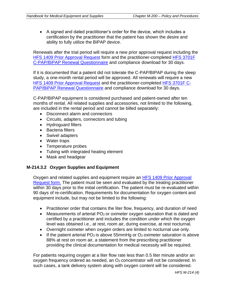• A signed and dated practitioner's order for the device, which includes a certification by the practitioner that the patient has shown the desire and ability to fully utilize the BiPAP device.

Renewals after the trial period will require a new prior approval request including the [HFS 1409 Prior Approval Request](http://www.illinois.gov/hfs/info/Brochures%20and%20Forms/Pages/medicalformsnumeric.aspx) form and the practitioner-completed [HFS 3701F](http://www.illinois.gov/hfs/info/Brochures%20and%20Forms/Pages/medicalformsnumeric.aspx)  [C-PAP/BiPAP Renewal Questionnaire](http://www.illinois.gov/hfs/info/Brochures%20and%20Forms/Pages/medicalformsnumeric.aspx) and compliance download for 30 days.

If it is documented that a patient did not tolerate the C-PAP/BIPAP during the sleep study, a one-month rental period will be approved. All renewals will require a new [HFS 1409 Prior Approval Request](http://www.illinois.gov/hfs/SiteCollectionDocuments/hfs1409.pdf) and the practitioner-completed [HFS 3701F C-](http://www.illinois.gov/hfs/info/Brochures%20and%20Forms/Pages/medicalformsnumeric.aspx)[PAP/BiPAP Renewal Questionnaire](http://www.illinois.gov/hfs/info/Brochures%20and%20Forms/Pages/medicalformsnumeric.aspx) and compliance download for 30 days.

C-PAP/BIPAP equipment is considered purchased and patient-owned after ten months of rental. All related supplies and accessories, not limited to the following, are included in the rental period and cannot be billed separately:

- Disconnect alarm and connectors
- Circuits, adapters, connectors and tubing
- Hydroguard filters
- Bacteria filters
- Swivel adapters
- Water traps
- Temperature probes
- Tubing with integrated heating element
- Mask and headgear

#### **M-214.3.2 Oxygen Supplies and Equipment**

Oxygen and related supplies and equipment require an [HFS 1409 Prior Approval](http://www.illinois.gov/hfs/info/Brochures%20and%20Forms/Pages/medicalformsnumeric.aspx)  [Request form.](http://www.illinois.gov/hfs/info/Brochures%20and%20Forms/Pages/medicalformsnumeric.aspx) The patient must be seen and evaluated by the treating practitioner within 30 days prior to the initial certification. The patient must be re-evaluated within 90 days of re-certification. Requirements for documentation for oxygen content and equipment include, but may not be limited to the following:

- Practitioner order that contains the liter flow, frequency, and duration of need
- Measurements of arterial  $PO<sub>2</sub>$  or oximeter oxygen saturation that is dated and certified by a practitioner and includes the condition under which the oxygen level was obtained i.e., at rest, room air, during exercise, at rest nocturnal.
- Overnight oximeter when oxygen orders are limited to nocturnal use only.
- If the patient arterial PO<sub>2</sub> is above 55mmHg or O<sub>2</sub> oximeter saturation is above 88% at rest on room air, a statement from the prescribing practitioner providing the clinical documentation for medical necessity will be required.

For patients requiring oxygen at a liter flow rate less than 0.5 liter minute and/or an  $o$ xygen frequency ordered as needed, an  $O<sub>2</sub>$  concentrator will not be considered. In such cases, a tank delivery system along with oxygen content will be considered.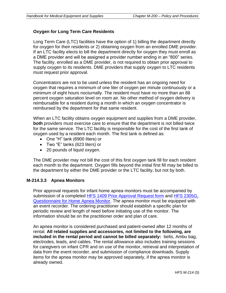#### **Oxygen for Long Term Care Residents**

Long Term Care (LTC) facilities have the option of 1) billing the department directly for oxygen for their residents or 2) obtaining oxygen from an enrolled DME provider. If an LTC facility elects to bill the department directly for oxygen they must enroll as a DME provider and will be assigned a provider number ending in an "800" series. The facility, enrolled as a DME provider, is not required to obtain prior approval to supply oxygen to its residents. DME providers that supply oxygen to LTC residents must request prior approval.

Concentrators are not to be used unless the resident has an ongoing need for oxygen that requires a minimum of one liter of oxygen per minute continuously or a minimum of eight hours nocturnally. The resident must have no more than an 88 percent oxygen saturation level on room air. No other method of oxygen delivery is reimbursable for a resident during a month in which an oxygen concentrator is reimbursed by the department for that same resident.

When an LTC facility obtains oxygen equipment and supplies from a DME provider, **both** providers must exercise care to ensure that the department is not billed twice for the same service. The LTC facility is responsible for the cost of the first tank of oxygen used by a resident each month. The first tank is defined as:

- One "H" tank (6900 liters) or
- Two "E" tanks (623 liters) or
- 20 pounds of liquid oxygen.

The DME provider may not bill the cost of this first oxygen tank fill for each resident each month to the department. Oxygen fills beyond the initial first fill may be billed to the department by either the DME provider or the LTC facility, but not by both.

#### **M-214.3.3 Apnea Monitors**

Prior approval requests for infant home apnea monitors must be accompanied by submission of a completed [HFS 1409 Prior Approval Request form](http://www.illinois.gov/hfs/info/Brochures%20and%20Forms/Pages/medicalformsnumeric.aspx) and HFS 2305G, [Questionnaire for Home Apnea Monitor.](http://www.illinois.gov/hfs/info/Brochures%20and%20Forms/Pages/medicalformsnumeric.aspx) The apnea monitor must be equipped with an event recorder. The ordering practitioner should establish a specific plan for periodic review and length of need before initiating use of the monitor. The information should be on the practitioner order and plan of care.

An apnea monitor is considered purchased and patient-owned after 12 months of rental. **All related supplies and accessories, not limited to the following, are included in the rental period and cannot be billed separately:** belts, Ambu bag, electrodes, leads, and cables. The rental allowance also includes training sessions for caregivers on infant CPR and on use of the monitor, retrieval and interpretation of data from the event recorder, and submission of compliance downloads. Supply items for the apnea monitor may be approved separately, if the apnea monitor is already owned.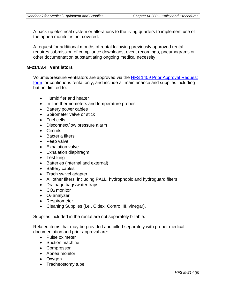A back-up electrical system or alterations to the living quarters to implement use of the apnea monitor is not covered.

A request for additional months of rental following previously approved rental requires submission of compliance downloads, event recordings, pneumograms or other documentation substantiating ongoing medical necessity.

#### **M-214.3.4 Ventilators**

Volume/pressure ventilators are approved via the [HFS 1409 Prior Approval Request](http://www.illinois.gov/hfs/info/Brochures%20and%20Forms/Pages/medicalformsnumeric.aspx)  [form](http://www.illinois.gov/hfs/info/Brochures%20and%20Forms/Pages/medicalformsnumeric.aspx) for continuous rental only, and include all maintenance and supplies including but not limited to:

- Humidifier and heater
- In-line thermometers and temperature probes
- Battery power cables
- Spirometer valve or stick
- Fuel cells
- Disconnect/low pressure alarm
- Circuits
- Bacteria filters
- Peep valve
- Exhalation valve
- Exhalation diaphragm
- Test lung
- Batteries (internal and external)
- Battery cables
- Trach swivel adapter
- All other filters, including PALL, hydrophobic and hydroguard filters
- Drainage bags/water traps
- $\bullet$  CO<sub>2</sub> monitor
- $\bullet$   $O_2$  analyzer
- Respirometer
- Cleaning Supplies (i.e., Cidex, Control III, vinegar).

Supplies included in the rental are not separately billable.

Related items that may be provided and billed separately with proper medical documentation and prior approval are:

- Pulse oximeter
- Suction machine
- Compressor
- Apnea monitor
- Oxygen
- Tracheostomy tube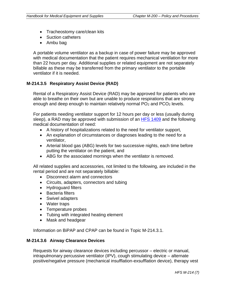- Tracheostomy care/clean kits
- Suction catheters
- Ambu bag

A portable volume ventilator as a backup in case of power failure may be approved with medical documentation that the patient requires mechanical ventilation for more than 22 hours per day. Additional supplies or related equipment are not separately billable as these may be transferred from the primary ventilator to the portable ventilator if it is needed.

#### **M-214.3.5 Respiratory Assist Device (RAD)**

Rental of a Respiratory Assist Device (RAD) may be approved for patients who are able to breathe on their own but are unable to produce respirations that are strong enough and deep enough to maintain relatively normal  $PO<sub>2</sub>$  and  $PCO<sub>2</sub>$  levels.

For patients needing ventilator support for 12 hours per day or less (usually during sleep), a RAD may be approved with submission of an [HFS 1409](http://www.illinois.gov/hfs/info/Brochures%20and%20Forms/Pages/medicalformsnumeric.aspx) and the following medical documentation of need:

- A history of hospitalizations related to the need for ventilator support,
- An explanation of circumstances or diagnoses leading to the need for a ventilator,
- Arterial blood gas (ABG) levels for two successive nights, each time before putting the ventilator on the patient, and
- ABG for the associated mornings when the ventilator is removed.

All related supplies and accessories, not limited to the following, are included in the rental period and are not separately billable:

- Disconnect alarm and connectors
- Circuits, adapters, connectors and tubing
- Hydroguard filters
- Bacteria filters
- Swivel adapters
- Water traps
- Temperature probes
- Tubing with integrated heating element
- Mask and headgear

Information on BiPAP and CPAP can be found in Topic M-214.3.1.

#### **M-214.3.6 Airway Clearance Devices**

Requests for airway clearance devices including percussor – electric or manual, intrapulmonary percussive ventilator (IPV), cough stimulating device – alternate positive/negative pressure (mechanical insufflation-exsufflation device), therapy vest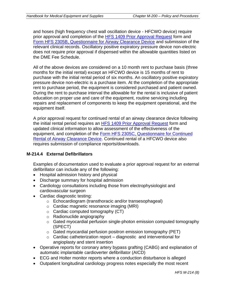and hoses (high frequency chest wall oscillation device - HFCWO device) require prior approval and completion of the [HFS 1409 Prior Approval Request](http://www.illinois.gov/hfs/info/Brochures%20and%20Forms/Pages/medicalformsnumeric.aspx) form and [Form HFS 2305B, Questionnaire for Airway Clearance Device](http://www.illinois.gov/hfs/info/Brochures%20and%20Forms/Pages/medicalformsnumeric.aspx) and submission of the relevant clinical records. Oscillatory positive expiratory pressure device non-electric does not require prior approval if dispensed within the allowable quantities listed on the DME Fee Schedule.

All of the above devices are considered on a 10 month rent to purchase basis (three months for the initial rental) except an HFCWO device is 15 months of rent to purchase with the initial rental period of six months. An oscillatory positive expiratory pressure device non-electric is a purchase item. At the completion of the appropriate rent to purchase period, the equipment is considered purchased and patient owned. During the rent to purchase interval the allowable for the rental is inclusive of patient education on proper use and care of the equipment, routine servicing including repairs and replacement of components to keep the equipment operational, and the equipment itself.

A prior approval request for continued rental of an airway clearance device following the initial rental period requires an [HFS 1409 Prior Approval Request](http://www.illinois.gov/hfs/info/Brochures%20and%20Forms/Pages/medicalformsnumeric.aspx) form and updated clinical information to allow assessment of the effectiveness of the equipment, and completion of the [Form HFS 2305C, Questionnaire for Continued](http://www.illinois.gov/hfs/info/Brochures%20and%20Forms/Pages/medicalformsnumeric.aspx)  [Rental of Airway Clearance Device.](http://www.illinois.gov/hfs/info/Brochures%20and%20Forms/Pages/medicalformsnumeric.aspx) Continued rental of a HFCWO device also requires submission of compliance reports/downloads.

#### **M-214.4 External Defibrillators**

Examples of documentation used to evaluate a prior approval request for an external defibrillator can include any of the following:

- Hospital admission history and physical
- Discharge summary for hospital admission
- Cardiology consultations including those from electrophysiologist and cardiovascular surgeon
- Cardiac diagnostic testing:
	- o Echocardiogram (transthoracic and/or transesophageal)
	- o Cardiac magnetic resonance imaging (MRI)
	- $\circ$  Cardiac computed tomography (CT)
	- o Radionuclide angiography
	- o Gated myocardial perfusion single-photon emission computed tomography (SPECT)
	- o Gated myocardial perfusion positron emission tomography (PET)
	- $\circ$  Cardiac catheterization report diagnostic and interventional for angioplasty and stent insertion
- Operative reports for coronary artery bypass grafting (CABG) and explanation of automatic implantable cardioverter defibrillator (AICD)
- ECG and Holter monitor reports where a conduction disturbance is alleged
- Outpatient longitudinal cardiology progress notes especially the most recent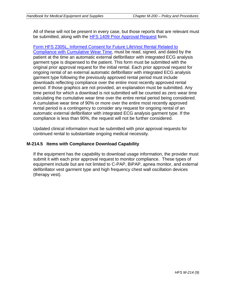All of these will not be present in every case, but those reports that are relevant must be submitted, along with the [HFS 1409 Prior Approval Request](http://www.illinois.gov/hfs/info/Brochures%20and%20Forms/Pages/medicalformsnumeric.aspx) form.

[Form HFS 2305L, Informed Consent for Future LifeVest Rental Related to](http://www.illinois.gov/hfs/info/Brochures%20and%20Forms/Pages/medicalformsnumeric.aspx)  [Compliance with Cumulative Wear Time,](http://www.illinois.gov/hfs/info/Brochures%20and%20Forms/Pages/medicalformsnumeric.aspx) must be read, signed, and dated by the patient at the time an automatic external defibrillator with integrated ECG analysis garment type is dispensed to the patient. This form must be submitted with the original prior approval request for the initial rental. Each prior approval request for ongoing rental of an external automatic defibrillator with integrated ECG analysis garment type following the previously approved rental period must include downloads reflecting compliance over the entire most recently approved rental period. If those graphics are not provided, an explanation must be submitted. Any time period for which a download is not submitted will be counted as zero wear time calculating the cumulative wear time over the entire rental period being considered. A cumulative wear time of 90% or more over the entire most recently approved rental period is a contingency to consider any request for ongoing rental of an automatic external defibrillator with integrated ECG analysis garment type. If the compliance is less than 90%, the request will not be further considered.

Updated clinical information must be submitted with prior approval requests for continued rental to substantiate ongoing medical necessity.

#### **M-214.5 Items with Compliance Download Capability**

If the equipment has the capability to download usage information, the provider must submit it with each prior approval request to monitor compliance. These types of equipment include but are not limited to C-PAP, BiPAP, apnea monitor, and external defibrillator vest garment type and high frequency chest wall oscillation devices (therapy vest).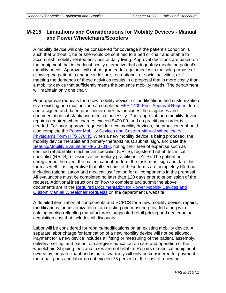## **M-215 Limitations and Considerations for Mobility Devices - Manual and Power Wheelchairs/Scooters**

A mobility device will only be considered for coverage if the patient's condition is such that without it, he or she would be confined to a bed or chair and unable to accomplish mobility related activities of daily living. Approval decisions are based on the equipment that is the least costly alternative that adequately meets the patient's mobility needs. Approval will not be granted for equipment with the sole purpose of allowing the patient to engage in leisure, recreational, or social activities, or if meeting the demands of these activities results in a proposal that is more costly than a mobility device that sufficiently meets the patient's mobility needs. The department will maintain only one chair.

Prior approval requests for a new mobility device, or modifications and customization of an existing one must include a completed [HFS 1409 Prior Approval Request](http://www.illinois.gov/hfs/info/Brochures%20and%20Forms/Pages/medicalformsnumeric.aspx) form, and a signed and dated practitioner order that includes the diagnoses and documentation substantiating medical necessity. Prior approval for a mobility device repair is required when charges exceed \$400.00, and no practitioner order is needed. For prior approval requests for new mobility devices, the practitioner should also complete the [Power Mobility Devices and Custom Manual Wheelchairs](http://www.illinois.gov/hfs/info/Brochures%20and%20Forms/Pages/medicalformsnumeric.aspx)  [Physician's Form HFS 3701K.](http://www.illinois.gov/hfs/info/Brochures%20and%20Forms/Pages/medicalformsnumeric.aspx) When a new mobility device is being proposed, the mobility device therapist and primary therapist must submit, sign, and date the [Seating/Mobility Evaluation HFS 3701H,](http://www.illinois.gov/hfs/info/Brochures%20and%20Forms/Pages/medicalformsnumeric.aspx) noting their area of expertise such as certified rehabilitation technician specialist (CRTS), registered rehab technical specialist (RRTS), or assistive technology practitioner (ATP). The patient or caregiver, in the event the patient cannot perform the task, must sign and date this form as well. It is imperative that all sections of these forms are completely filled out including rationalization and medical justification for all components in the proposal. All evaluations must be completed no later than 120 days prior to submission of the request. Additional instructions on how to complete and submit the above documents are in the [Required Documentation for Power Mobility Devices and](http://www.illinois.gov/hfs/info/Brochures%20and%20Forms/Pages/medicalformsnumeric.aspx)  [Custom Manual Wheelchair Requests](http://www.illinois.gov/hfs/info/Brochures%20and%20Forms/Pages/medicalformsnumeric.aspx) on the department's website.

A detailed itemization of components and HCPCS for a new mobility device, repairs, modifications, or customization of an existing one must be provided along with catalog pricing reflecting manufacturer's suggested retail pricing and dealer actual acquisition cost that includes all discounts.

Labor will be considered for repairs/modifications on an existing mobility device. A separate labor charge for fabrication of a new mobility device will not be allowed. Payment for a new device includes all fitting or measuring of the patient, assembly, delivery, set-up, and patient or caregiver education on care and operation of the wheelchair. Shipping fees and taxes are not billable. Repairs of medical equipment owned by the participant and is out of warranty will only be considered for payment if the repair parts and labor do not exceed 75 percent of the cost of a new unit.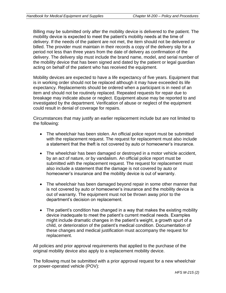Billing may be submitted only after the mobility device is delivered to the patient. The mobility device is expected to meet the patient's mobility needs at the time of delivery. If the needs of the patient are not met, the item should not be delivered or billed. The provider must maintain in their records a copy of the delivery slip for a period not less than three years from the date of delivery as confirmation of the delivery. The delivery slip must include the brand name, model, and serial number of the mobility device that has been signed and dated by the patient or legal guardian acting on behalf of the patient who has received the equipment.

Mobility devices are expected to have a life expectancy of five years. Equipment that is in working order should not be replaced although it may have exceeded its life expectancy. Replacements should be ordered when a participant is in need of an item and should not be routinely replaced. Repeated requests for repair due to breakage may indicate abuse or neglect. Equipment abuse may be reported to and investigated by the department. Verification of abuse or neglect of the equipment could result in denial of coverage for repairs.

Circumstances that may justify an earlier replacement include but are not limited to the following:

- The wheelchair has been stolen. An official police report must be submitted with the replacement request. The request for replacement must also include a statement that the theft is not covered by auto or homeowner's insurance.
- The wheelchair has been damaged or destroyed in a motor vehicle accident, by an act of nature, or by vandalism. An official police report must be submitted with the replacement request. The request for replacement must also include a statement that the damage is not covered by auto or homeowner's insurance and the mobility device is out of warranty.
- The wheelchair has been damaged beyond repair in some other manner that is not covered by auto or homeowner's insurance and the mobility device is out of warranty. The equipment must not be thrown away prior to the department's decision on replacement.
- The patient's condition has changed in a way that makes the existing mobility device inadequate to meet the patient's current medical needs. Examples might include dramatic changes in the patient's weight, a growth spurt of a child, or deterioration of the patient's medical condition. Documentation of these changes and medical justification must accompany the request for replacement.

All policies and prior approval requirements that applied to the purchase of the original mobility device also apply to a replacement mobility device.

The following must be submitted with a prior approval request for a new wheelchair or power-operated vehicle (POV):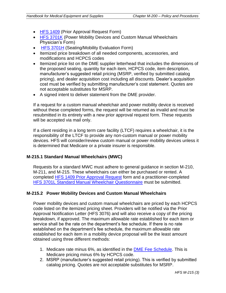- [HFS 1409](http://www.illinois.gov/hfs/info/Brochures%20and%20Forms/Pages/medicalformsnumeric.aspx) (Prior Approval Request Form)
- [HFS 3701K](http://www.illinois.gov/hfs/info/Brochures%20and%20Forms/Pages/medicalformsnumeric.aspx) (Power Mobility Devices and Custom Manual Wheelchairs Physician's Form)
- [HFS 3701H](http://www.illinois.gov/hfs/info/Brochures%20and%20Forms/Pages/medicalformsnumeric.aspx) (Seating/Mobility Evaluation Form)
- Itemized price breakdown of all needed components, accessories, and modifications and HCPCS codes
- Itemized price list on the DME supplier letterhead that includes the dimensions of the proposed seating, quantity for each item, HCPCS code, item description, manufacturer's suggested retail pricing (MSRP, verified by submitted catalog pricing), and dealer acquisition cost including all discounts. Dealer's acquisition cost must be verified by submitting manufacturer's cost statement. Quotes are not acceptable substitutes for MSRP.
- A signed intent to deliver statement from the DME provider.

If a request for a custom manual wheelchair and power mobility device is received without these completed forms, the request will be returned as invalid and must be resubmitted in its entirety with a new prior approval request form. These requests will be accepted via mail only.

If a client residing in a long term care facility (LTCF) requires a wheelchair, it is the responsibility of the LTCF to provide any non-custom manual or power mobility devices. HFS will consider/review custom manual or power mobility devices unless it is determined that Medicare or a private insurer is responsible.

#### **M-215.1 Standard Manual Wheelchairs (MWC)**

Requests for a standard MWC must adhere to general guidance in section M-210, M-211, and M-215. These wheelchairs can either be purchased or rented. A completed [HFS 1409 Prior Approval Request](http://www.illinois.gov/hfs/info/Brochures%20and%20Forms/Pages/medicalformsnumeric.aspx) form and a practitioner-completed [HFS 3701L Standard Manual Wheelchair Questionnaire](http://www.illinois.gov/hfs/info/Brochures%20and%20Forms/Pages/medicalformsnumeric.aspx) must be submitted.

#### **M-215.2 Power Mobility Devices and Custom Manual Wheelchairs**

Power mobility devices and custom manual wheelchairs are priced by each HCPCS code listed on the itemized pricing sheet. Providers will be notified via the Prior Approval Notification Letter (HFS 3076) and will also receive a copy of the pricing breakdown, if approved. The maximum allowable rate established for each item or service shall be the rate on the department's fee schedule. If there is no rate established on the department's fee schedule, the maximum allowable rate established for each item in a mobility device proposal will be the least amount obtained using three different methods:

- 1. Medicare rate minus 6%, as identified in the [DME Fee Schedule.](http://www.illinois.gov/hfs/MedicalProviders/MedicaidReimbursement/Pages/default.aspx) This is Medicare pricing minus 6% by HCPCS code.
- 2. MSRP (manufacturer's suggested retail pricing). This is verified by submitted catalog pricing. Quotes are not acceptable substitutes for MSRP.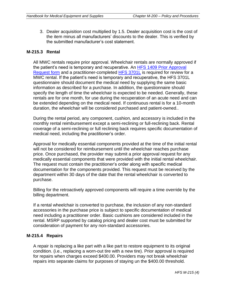3. Dealer acquisition cost multiplied by 1.5. Dealer acquisition cost is the cost of the item minus all manufacturers' discounts to the dealer. This is verified by the submitted manufacturer's cost statement.

#### **M-215.3 Rental**

All MWC rentals require prior approval. Wheelchair rentals are normally approved if the patient's need is temporary and recuperative. An [HFS 1409 Prior Approval](http://www.illinois.gov/hfs/info/Brochures%20and%20Forms/Pages/medicalformsnumeric.aspx)  [Request form](http://www.illinois.gov/hfs/info/Brochures%20and%20Forms/Pages/medicalformsnumeric.aspx) and a practitioner-completed [HFS 3701L](http://www.illinois.gov/hfs/info/Brochures%20and%20Forms/Pages/medicalformsnumeric.aspx) is required for review for a MWC rental. If the patient's need is temporary and recuperative, the HFS 3701L questionnaire should document the medical need by supplying the same basic information as described for a purchase. In addition, the questionnaire should specify the length of time the wheelchair is expected to be needed. Generally, these rentals are for one month, for use during the recuperation of an acute need and can be extended depending on the medical need. If continuous rental is for a 10-month duration, the wheelchair will be considered purchased and patient-owned..

During the rental period, any component, cushion, and accessory is included in the monthly rental reimbursement except a semi-reclining or full-reclining back. Rental coverage of a semi-reclining or full reclining back requires specific documentation of medical need, including the practitioner's order.

Approval for medically essential components provided at the time of the initial rental will not be considered for reimbursement until the wheelchair reaches purchase price. Once purchased, the provider may submit a prior approval request for any medically essential components that were provided with the initial rental wheelchair. The request must contain the practitioner's order along with specific medical documentation for the components provided. This request must be received by the department within 30 days of the date that the rental wheelchair is converted to purchase.

Billing for the retroactively approved components will require a time override by the billing department.

If a rental wheelchair is converted to purchase, the inclusion of any non-standard accessories in the purchase price is subject to specific documentation of medical need including a practitioner order. Basic cushions are considered included in the rental. MSRP supported by catalog pricing and dealer cost must be submitted for consideration of payment for any non-standard accessories.

#### **M-215.4 Repairs**

A repair is replacing a like part with a like part to restore equipment to its original condition. (i.e., replacing a worn-out tire with a new tire). Prior approval is required for repairs when charges exceed \$400.00. Providers may not break wheelchair repairs into separate claims for purposes of staying un the \$400.00 threshold.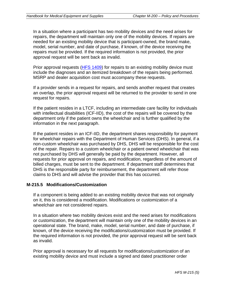In a situation where a participant has two mobility devices and the need arises for repairs, the department will maintain only one of the mobility devices. If repairs are needed for an existing mobility device that is participant-owned, the brand make, model, serial number, and date of purchase, if known, of the device receiving the repairs must be provided. If the required information is not provided, the prior approval request will be sent back as invalid.

Prior approval requests [\(HFS 1409\)](http://www.illinois.gov/hfs/info/Brochures%20and%20Forms/Pages/medicalformsnumeric.aspx) for repairs to an existing mobility device must include the diagnoses and an itemized breakdown of the repairs being performed. MSRP and dealer acquisition cost must accompany these requests.

If a provider sends in a request for repairs, and sends another request that creates an overlap, the prior approval request will be returned to the provider to send in one request for repairs.

If the patient resides in a LTCF, including an intermediate care facility for individuals with intellectual disabilities (ICF-IID), the cost of the repairs will be covered by the department only if the patient owns the wheelchair and is further qualified by the information in the next paragraph.

If the patient resides in an ICF-IID, the department shares responsibility for payment for wheelchair repairs with the Department of Human Services (DHS). In general, if a non-custom wheelchair was purchased by DHS, DHS will be responsible for the cost of the repair. Repairs to a custom wheelchair or a patient owned wheelchair that was not purchased by DHS will generally be paid by the department. However, all requests for prior approval on repairs, and modification, regardless of the amount of billed charges, must be sent to the department. If department staff determines that DHS is the responsible party for reimbursement, the department will refer those claims to DHS and will advise the provider that this has occurred.

#### **M-215.5 Modifications/Customization**

If a component is being added to an existing mobility device that was not originally on it, this is considered a modification. Modifications or customization of a wheelchair are not considered repairs.

In a situation where two mobility devices exist and the need arises for modifications or customization, the department will maintain only one of the mobility devices in an operational state. The brand, make, model, serial number, and date of purchase, if known, of the device receiving the modifications/customization must be provided. If the required information is not provided, the prior approval request will be sent back as invalid.

Prior approval is necessary for all requests for modifications/customization of an existing mobility device and must include a signed and dated practitioner order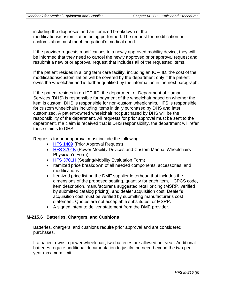including the diagnoses and an itemized breakdown of the modifications/customization being performed. The request for modification or customization must meet the patient's medical need.

If the provider requests modifications to a newly approved mobility device, they will be informed that they need to cancel the newly approved prior approval request and resubmit a new prior approval request that includes all of the requested items.

If the patient resides in a long term care facility, including an ICF-IID, the cost of the modifications/customization will be covered by the department only if the patient owns the wheelchair and is further qualified by the information in the next paragraph.

If the patient resides in an ICF-IID, the department or Department of Human Services (DHS) is responsible for payment of the wheelchair based on whether the item is custom. DHS is responsible for non-custom wheelchairs. HFS is responsible for custom wheelchairs including items initially purchased by DHS and later customized. A patient-owned wheelchair not purchased by DHS will be the responsibility of the department. All requests for prior approval must be sent to the department. If a claim is received that is DHS responsibility, the department will refer those claims to DHS.

Requests for prior approval must include the following:

- [HFS 1409](http://www.illinois.gov/hfs/info/Brochures%20and%20Forms/Pages/medicalformsnumeric.aspx) (Prior Approval Request)
- [HFS 3701K](http://www.illinois.gov/hfs/info/Brochures%20and%20Forms/Pages/medicalformsnumeric.aspx) (Power Mobility Devices and Custom Manual Wheelchairs Physician's Form)
- [HFS 3701H](http://www.illinois.gov/hfs/info/Brochures%20and%20Forms/Pages/medicalformsnumeric.aspx) (Seating/Mobility Evaluation Form)
- Itemized price breakdown of all needed components, accessories, and modifications
- Itemized price list on the DME supplier letterhead that includes the dimensions of the proposed seating, quantity for each item, HCPCS code, item description, manufacturer's suggested retail pricing (MSRP, verified by submitted catalog pricing), and dealer acquisition cost. Dealer's acquisition cost must be verified by submitting manufacturer's cost statement. Quotes are not acceptable substitutes for MSRP.
- A signed intent to deliver statement from the DME provider.

### **M-215.6 Batteries, Chargers, and Cushions**

Batteries, chargers, and cushions require prior approval and are considered purchases.

If a patient owns a power wheelchair, two batteries are allowed per year. Additional batteries require additional documentation to justify the need beyond the two per year maximum limit.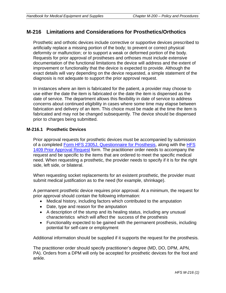## **M-216 Limitations and Considerations for Prosthetics/Orthotics**

Prosthetic and orthotic devices include corrective or supportive devices prescribed to artificially replace a missing portion of the body; to prevent or correct physical deformity or malfunction; or to support a weak or deformed portion of the body. Requests for prior approval of prostheses and orthoses must include extensive documentation of the functional limitations the device will address and the extent of improvement or functionality that the device is expected to provide. Although the exact details will vary depending on the device requested, a simple statement of the diagnosis is not adequate to support the prior approval request.

In instances where an item is fabricated for the patient, a provider may choose to use either the date the item is fabricated or the date the item is dispensed as the date of service. The department allows this flexibility in date of service to address concerns about continued eligibility in cases where some time may elapse between fabrication and delivery of an item. This choice must be made at the time the item is fabricated and may not be changed subsequently. The device should be dispensed prior to charges being submitted.

#### **M-216.1 Prosthetic Devices**

Prior approval requests for prosthetic devices must be accompanied by submission of a completed [Form HFS 2305J, Questionnaire for Prosthesis,](http://www.illinois.gov/hfs/info/Brochures%20and%20Forms/Pages/medicalformsnumeric.aspx) along with the [HFS](http://www.illinois.gov/hfs/info/Brochures%20and%20Forms/Pages/medicalformsnumeric.aspx)  [1409 Prior Approval Request](http://www.illinois.gov/hfs/info/Brochures%20and%20Forms/Pages/medicalformsnumeric.aspx) form. The practitioner order needs to accompany the request and be specific to the items that are ordered to meet the specific medical need. When requesting a prosthetic, the provider needs to specify if it is for the right side, left side, or bilateral.

When requesting socket replacements for an existent prosthetic, the provider must submit medical justification as to the need (for example, shrinkage).

A permanent prosthetic device requires prior approval. At a minimum, the request for prior approval should contain the following information:

- Medical history, including factors which contributed to the amputation
- Date, type and reason for the amputation
- A description of the stump and its healing status, including any unusual characteristics which will affect the success of the prosthesis
- Functionality expected to be gained with the permanent prosthesis, including potential for self-care or employment

Additional information should be supplied if it supports the request for the prosthesis.

The practitioner order should specify practitioner's degree (MD, DO, DPM, APN, PA). Orders from a DPM will only be accepted for prosthetic devices for the foot and ankle.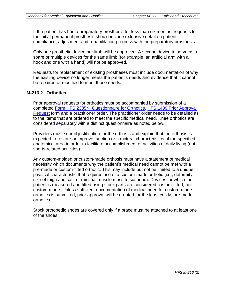If the patient has had a preparatory prosthesis for less than six months, requests for the initial permanent prosthesis should include extensive detail on patient compliance, adjustment and rehabilitation progress with the preparatory prosthesis.

Only one prosthetic device per limb will be approved. A second device to serve as a spare or multiple devices for the same limb (for example, an artificial arm with a hook and one with a hand) will not be approved.

Requests for replacement of existing prostheses must include documentation of why the existing device no longer meets the patient's needs and evidence that it cannot be repaired or modified to meet those needs.

#### **M-216.2 Orthotics**

Prior approval requests for orthotics must be accompanied by submission of a completed [Form HFS 2305N, Questionnaire for Orthotics, HFS 1409 Prior Approval](http://www.illinois.gov/hfs/info/Brochures%20and%20Forms/Pages/medicalformsnumeric.aspx)  [Request](http://www.illinois.gov/hfs/info/Brochures%20and%20Forms/Pages/medicalformsnumeric.aspx) form and a practitioner order. The practitioner order needs to be detailed as to the items that are ordered to meet the specific medical need. Knee orthotics are considered separately with a distinct questionnaire as noted below.

Providers must submit justification for the orthosis and explain that the orthosis is expected to restore or improve function or structural characteristics of the specified anatomical area in order to facilitate accomplishment of activities of daily living (not sports-related activities).

Any custom-molded or custom-made orthosis must have a statement of medical necessity which documents why the patient's medical need cannot be met with a pre-made or custom-fitted orthotic. This may include but not be limited to a unique physical characteristic that requires use of a custom-made orthotic (i.e., deformity, size of thigh and calf, or minimal muscle mass to suspend). Devices for which the patient is measured and fitted using stock parts are considered custom-fitted, not custom-made. Unless sufficient documentation of medical need for custom-made orthotics is submitted, prior approval will be granted for the least costly, pre-made orthotics.

Stock orthopedic shoes are covered only if a brace must be attached to at least one of the shoes.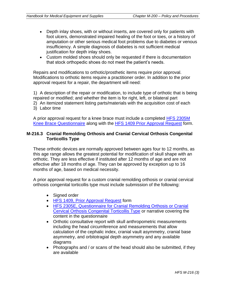- Depth inlay shoes, with or without inserts, are covered only for patients with foot ulcers, demonstrated impaired healing of the foot or toes, or a history of amputation or other serious medical foot problems due to diabetes or venous insufficiency. A simple diagnosis of diabetes is not sufficient medical justification for depth inlay shoes.
- Custom molded shoes should only be requested if there is documentation that stock orthopedic shoes do not meet the patient's needs.

Repairs and modifications to orthotic/prosthetic items require prior approval. Modifications to orthotic items require a practitioner order. In addition to the prior approval request for a repair, the department will need:

1) A description of the repair or modification, to include type of orthotic that is being repaired or modified; and whether the item is for right, left, or bilateral part 2) An itemized statement listing parts/materials with the acquisition cost of each

3) Labor time

A prior approval request for a knee brace must include a completed [HFS 2305M](http://www.illinois.gov/hfs/info/Brochures%20and%20Forms/Pages/medicalformsnumeric.aspx)  [Knee Brace Questionnaire](http://www.illinois.gov/hfs/info/Brochures%20and%20Forms/Pages/medicalformsnumeric.aspx) along with the [HFS 1409 Prior Approval Request](http://www.illinois.gov/hfs/info/Brochures%20and%20Forms/Pages/medicalformsnumeric.aspx) form.

#### **M-216.3 Cranial Remolding Orthosis and Cranial Cervical Orthosis Congenital Torticollis Type**

These orthotic devices are normally approved between ages four to 12 months, as this age range allows the greatest potential for modification of skull shape with an orthotic. They are less effective if instituted after 12 months of age and are not effective after 18 months of age. They can be approved by exception up to 16 months of age, based on medical necessity.

A prior approval request for a custom cranial remolding orthosis or cranial cervical orthosis congenital torticollis type must include submission of the following:

- Signed order
- [HFS 1409, Prior Approval Request](http://www.illinois.gov/hfs/info/Brochures%20and%20Forms/Pages/medicalformsnumeric.aspx) form
- [HFS 2305E, Questionnaire for Cranial Remolding Orthosis or Cranial](http://www.illinois.gov/hfs/info/Brochures%20and%20Forms/Pages/medicalformsnumeric.aspx)  [Cervical Orthosis Congenital Torticollis Type](http://www.illinois.gov/hfs/info/Brochures%20and%20Forms/Pages/medicalformsnumeric.aspx) or narrative covering the content in the questionnaire
- Orthotic consultative report with skull anthropometric measurements including the head circumference and measurements that allow calculation of the cephalic index, cranial vault asymmetry, cranial base asymmetry, and orbitotragial depth asymmetry and any available diagrams
- Photographs and / or scans of the head should also be submitted, if they are available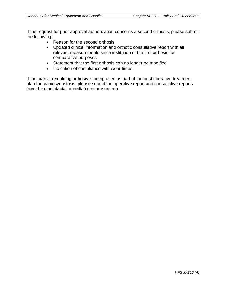If the request for prior approval authorization concerns a second orthosis, please submit the following:

- Reason for the second orthosis
- Updated clinical information and orthotic consultative report with all relevant measurements since institution of the first orthosis for comparative purposes
- Statement that the first orthosis can no longer be modified
- Indication of compliance with wear times.

If the cranial remolding orthosis is being used as part of the post operative treatment plan for craniosynostosis, please submit the operative report and consultative reports from the craniofacial or pediatric neurosurgeon.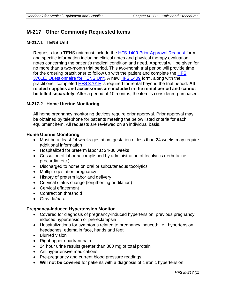## **M-217 Other Commonly Requested Items**

#### **M-217.1 TENS Unit**

Requests for a TENS unit must include the **HFS 1409 Prior Approval Request** form and specific information including clinical notes and physical therapy evaluation notes concerning the patient's medical condition and need. Approval will be given for no more than a two-month trial period. This two-month trial period will provide time for the ordering practitioner to follow up with the patient and complete the HFS [3701E, Questionnaire for TENS Unit.](http://www.illinois.gov/hfs/info/Brochures%20and%20Forms/Pages/medicalformsnumeric.aspx) A new [HFS 1409](http://www.illinois.gov/hfs/info/Brochures%20and%20Forms/Pages/medicalformsnumeric.aspx) form, along with the practitioner-completed [HFS 3701E](http://www.illinois.gov/hfs/info/Brochures%20and%20Forms/Pages/medicalformsnumeric.aspx) is required for rental beyond the trial period. **All related supplies and accessories are included in the rental period and cannot be billed separately**. After a period of 10 months, the item is considered purchased.

#### **M-217.2 Home Uterine Monitoring**

All home pregnancy monitoring devices require prior approval. Prior approval may be obtained by telephone for patients meeting the below listed criteria for each equipment item. All requests are reviewed on an individual basis.

#### **Home Uterine Monitoring**

- Must be at least 24 weeks gestation; gestation of less than 24 weeks may require additional information
- Hospitalized for preterm labor at 24-36 weeks
- Cessation of labor accomplished by administration of tocolytics (terbutaline, procardia, etc.)
- Discharged to home on oral or subcutaneous tocolytics
- Multiple gestation pregnancy
- History of preterm labor and delivery
- Cervical status change (lengthening or dilation)
- Cervical effacement
- Contraction threshold
- Gravida/para

#### **Pregnancy-Induced Hypertension Monitor**

- Covered for diagnosis of pregnancy-induced hypertension, previous pregnancy induced hypertension or pre-eclampsia
- Hospitalizations for symptoms related to pregnancy induced; i.e., hypertension headaches, edema in face, hands and feet
- Blurred vision
- Right upper quadrant pain
- 24 hour urine results greater than 300 mg of total protein
- Antihypertensive medications
- Pre-pregnancy and current blood pressure readings.
- **Will not be covered** for patients with a diagnosis of chronic hypertension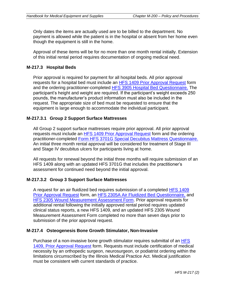Only dates the items are actually used are to be billed to the department. No payment is allowed while the patient is in the hospital or absent from her home even though the equipment is still in the home.

Approval of these items will be for no more than one month rental initially. Extension of this initial rental period requires documentation of ongoing medical need.

#### **M-217.3 Hospital Beds**

Prior approval is required for payment for all hospital beds. All prior approval requests for a hospital bed must include an [HFS 1409 Prior Approval Request](http://www.illinois.gov/hfs/info/Brochures%20and%20Forms/Pages/medicalformsnumeric.aspx) form and the ordering practitioner-completed [HFS 3905 Hospital Bed Questionnaire.](http://www.illinois.gov/hfs/info/Brochures%20and%20Forms/Pages/medicalformsnumeric.aspx) The participant's height and weight are required. If the participant's weight exceeds 250 pounds, the manufacturer's product information must also be included in the request. The appropriate size of bed must be requested to ensure that the equipment is large enough to accommodate the individual participant.

#### **M-217.3.1 Group 2 Support Surface Mattresses**

All Group 2 support surface mattresses require prior approval. All prior approval requests must include an [HFS 1409 Prior Approval Request](http://www.illinois.gov/hfs/info/Brochures%20and%20Forms/Pages/medicalformsnumeric.aspx) form and the ordering practitioner-completed [Form HFS 3701G Special Decubitus Mattress Questionnaire.](http://www.illinois.gov/hfs/info/Brochures%20and%20Forms/Pages/medicalformsnumeric.aspx) An initial three month rental approval will be considered for treatment of Stage III and Stage IV decubitus ulcers for participants living at home.

All requests for renewal beyond the initial three months will require submission of an HFS 1409 along with an updated HFS 3701G that includes the practitioner's assessment for continued need beyond the initial approval.

#### **M-217.3.2 Group 3 Support Surface Mattresses**

A request for an air fluidized bed requires submission of a completed [HFS 1409](http://www.illinois.gov/hfs/info/Brochures%20and%20Forms/Pages/medicalformsnumeric.aspx)  [Prior Approval Request](http://www.illinois.gov/hfs/info/Brochures%20and%20Forms/Pages/medicalformsnumeric.aspx) form, an [HFS 2305A Air Fluidized Bed Questionnaire,](http://www.illinois.gov/hfs/info/Brochures%20and%20Forms/Pages/medicalformsnumeric.aspx) and [HFS 2305 Wound Measurement Assessment Form.](http://www.illinois.gov/hfs/info/Brochures%20and%20Forms/Pages/medicalformsnumeric.aspx) Prior approval requests for additional rental following the initially approved rental period requires updated clinical status reports, a new HFS 1409, and an updated HFS 2305 Wound Measurement Assessment Form completed no more than seven days prior to submission of the prior approval request.

#### **M-217.4 Osteogenesis Bone Growth Stimulator, Non-Invasive**

Purchase of a non-invasive bone growth stimulator requires submittal of an [HFS](http://www.illinois.gov/hfs/info/Brochures%20and%20Forms/Pages/medicalformsnumeric.aspx)  [1409, Prior Approval Request](http://www.illinois.gov/hfs/info/Brochures%20and%20Forms/Pages/medicalformsnumeric.aspx) form. Requests must include certification of medical necessity by an orthopedic surgeon, neurosurgeon, or podiatrist ordering within the limitations circumscribed by the Illinois Medical Practice Act. Medical justification must be consistent with current standards of practice.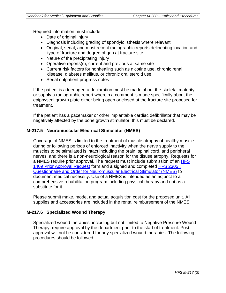Required information must include:

- Date of original injury
- Diagnosis including grading of spondylolisthesis where relevant
- Original, serial, and most recent radiographic reports delineating location and type of fracture and degree of gap at fracture site
- Nature of the precipitating injury
- Operative reports(s), current and previous at same site
- Current risk factors for nonhealing such as nicotine use, chronic renal disease, diabetes mellitus, or chronic oral steroid use
- Serial outpatient progress notes

If the patient is a teenager, a declaration must be made about the skeletal maturity or supply a radiographic report wherein a comment is made specifically about the epiphyseal growth plate either being open or closed at the fracture site proposed for treatment.

If the patient has a pacemaker or other implantable cardiac defibrillator that may be negatively affected by the bone growth stimulator, this must be declared.

#### **M-217.5 Neuromuscular Electrical Stimulator (NMES)**

Coverage of NMES is limited to the treatment of muscle atrophy of healthy muscle during or following periods of enforced inactivity when the nerve supply to the muscles to be stimulated is intact including the brain, spinal cord, and peripheral nerves, and there is a non-neurological reason for the disuse atrophy. Requests for a NMES require prior approval. The request must include submission of an [HFS](http://www.illinois.gov/hfs/info/Brochures%20and%20Forms/Pages/medicalformsnumeric.aspx)  [1409 Prior Approval Request](http://www.illinois.gov/hfs/info/Brochures%20and%20Forms/Pages/medicalformsnumeric.aspx) form and a signed and completed [HFS 2305](http://www.illinois.gov/hfs/info/Brochures%20and%20Forms/Pages/medicalformsnumeric.aspx)I, [Questionnaire and Order for Neuromuscular Electrical Stimulator \(NMES\)](http://www.illinois.gov/hfs/info/Brochures%20and%20Forms/Pages/medicalformsnumeric.aspx) to document medical necessity. Use of a NMES is intended as an adjunct to a comprehensive rehabilitation program including physical therapy and not as a substitute for it.

Please submit make, mode, and actual acquisition cost for the proposed unit. All supplies and accessories are included in the rental reimbursement of the NMES.

#### **M-217.6 Specialized Wound Therapy**

Specialized wound therapies, including but not limited to Negative Pressure Wound Therapy, require approval by the department prior to the start of treatment. Post approval will not be considered for any specialized wound therapies. The following procedures should be followed: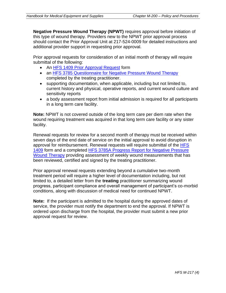**Negative Pressure Wound Therapy (NPWT)** requires approval before initiation of this type of wound therapy. Providers new to the NPWT prior approval process should contact the Prior Approval Unit at 217-524-0009 for detailed instructions and additional provider support in requesting prior approval.

Prior approval requests for consideration of an initial month of therapy will require submittal of the following:

- An [HFS 1409 Prior Approval Request](http://www.illinois.gov/hfs/info/Brochures%20and%20Forms/Pages/medicalformsnumeric.aspx) form
- an [HFS 3785 Questionnaire for Negative Pressure Wound Therapy](http://www.illinois.gov/hfs/info/Brochures%20and%20Forms/Pages/medicalformsnumeric.aspx) completed by the treating practitioner.
- supporting documentation, when applicable, including but not limited to, current history and physical, operative reports, and current wound culture and sensitivity reports
- a body assessment report from initial admission is required for all participants in a long term care facility.

**Note:** NPWT is not covered outside of the long term care per diem rate when the wound requiring treatment was acquired in that long term care facility or any sister facility.

Renewal requests for review for a second month of therapy must be received within seven days of the end date of service on the initial approval to avoid disruption in approval for reimbursement. Renewal requests will require submittal of the HFS [1409](http://www.illinois.gov/hfs/info/Brochures%20and%20Forms/Pages/medicalformsnumeric.aspx) form and a completed [HFS 3785A Progress Report for Negative Pressure](http://www.illinois.gov/hfs/info/Brochures%20and%20Forms/Pages/medicalformsnumeric.aspx)  [Wound Therapy](http://www.illinois.gov/hfs/info/Brochures%20and%20Forms/Pages/medicalformsnumeric.aspx) providing assessment of weekly wound measurements that has been reviewed, certified and signed by the treating practitioner.

Prior approval renewal requests extending beyond a cumulative two-month treatment period will require a higher level of documentation including, but not limited to, a detailed letter from the **treating** practitioner summarizing wound progress, participant compliance and overall management of participant's co-morbid conditions, along with discussion of medical need for continued NPWT.

**Note:** If the participant is admitted to the hospital during the approved dates of service, the provider must notify the department to end the approval. If NPWT is ordered upon discharge from the hospital, the provider must submit a new prior approval request for review.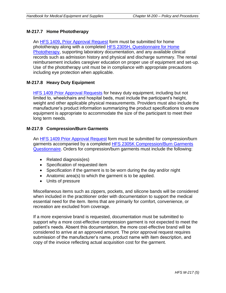#### **M-217.7 Home Phototherapy**

An [HFS 1409, Prior Approval Request](http://www.illinois.gov/hfs/info/Brochures%20and%20Forms/Pages/medicalformsnumeric.aspx) form must be submitted for home phototherapy along with a completed [HFS 2305H, Questionnaire for Home](http://www.illinois.gov/hfs/info/Brochures%20and%20Forms/Pages/medicalformsnumeric.aspx)  [Phototherapy,](http://www.illinois.gov/hfs/info/Brochures%20and%20Forms/Pages/medicalformsnumeric.aspx) supporting laboratory documentation, and any available clinical records such as admission history and physical and discharge summary. The rental reimbursement includes caregiver education on proper use of equipment and set-up. Use of the phototherapy unit must be in compliance with appropriate precautions including eye protection when applicable.

#### **M-217.8 Heavy Duty Equipment**

[HFS 1409 Prior Approval Requests](http://www.illinois.gov/hfs/info/Brochures%20and%20Forms/Pages/medicalformsnumeric.aspx) for heavy duty equipment, including but not limited to, wheelchairs and hospital beds, must include the participant's height, weight and other applicable physical measurements. Providers must also include the manufacturer's product information summarizing the product specifications to ensure equipment is appropriate to accommodate the size of the participant to meet their long term needs.

#### **M-217.9 Compression/Burn Garments**

An [HFS 1409 Prior Approval Request](http://www.illinois.gov/hfs/info/Brochures%20and%20Forms/Pages/medicalformsnumeric.aspx) form must be submitted for compression/burn garments accompanied by a completed [HFS 2305K Compression/Burn Garments](http://www.illinois.gov/hfs/info/Brochures%20and%20Forms/Pages/medicalformsnumeric.aspx)  [Questionnaire.](http://www.illinois.gov/hfs/info/Brochures%20and%20Forms/Pages/medicalformsnumeric.aspx) Orders for compression/burn garments must include the following:

- Related diagnosis(es)
- Specification of requested item
- Specification if the garment is to be worn during the day and/or night
- Anatomic area(s) to which the garment is to be applied.
- Units of pressure

Miscellaneous items such as zippers, pockets, and silicone bands will be considered when included in the practitioner order with documentation to support the medical essential need for the item. Items that are primarily for comfort, convenience, or recreation are excluded from coverage.

If a more expensive brand is requested, documentation must be submitted to support why a more cost-effective compression garment is not expected to meet the patient's needs. Absent this documentation, the more cost-effective brand will be considered to arrive at an approved amount. The prior approval request requires submission of the manufacturer's name, product name with item description, and copy of the invoice reflecting actual acquisition cost for the garment.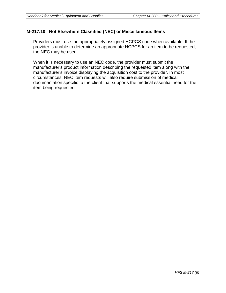#### **M-217.10 Not Elsewhere Classified (NEC) or Miscellaneous Items**

Providers must use the appropriately assigned HCPCS code when available. If the provider is unable to determine an appropriate HCPCS for an item to be requested, the NEC may be used.

When it is necessary to use an NEC code, the provider must submit the manufacturer's product information describing the requested item along with the manufacturer's invoice displaying the acquisition cost to the provider. In most circumstances, NEC item requests will also require submission of medical documentation specific to the client that supports the medical essential need for the item being requested.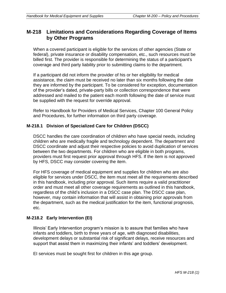### **M-218 Limitations and Considerations Regarding Coverage of Items by Other Programs**

When a covered participant is eligible for the services of other agencies (State or federal), private insurance or disability compensation, etc., such resources must be billed first. The provider is responsible for determining the status of a participant's coverage and third party liability prior to submitting claims to the department.

If a participant did not inform the provider of his or her eligibility for medical assistance, the claim must be received no later than six months following the date they are informed by the participant. To be considered for exception, documentation of the provider's dated, private-party bills or collection correspondence that were addressed and mailed to the patient each month following the date of service must be supplied with the request for override approval.

Refer to Handbook for Providers of Medical Services, Chapter 100 General Policy and Procedures, for further information on third party coverage.

#### **M-218.1 Division of Specialized Care for Children (DSCC)**

DSCC handles the care coordination of children who have special needs, including children who are medically fragile and technology dependent. The department and DSCC coordinate and adjust their respective policies to avoid duplication of services between the two departments. For children who are eligible in both programs, providers must first request prior approval through HFS. If the item is not approved by HFS, DSCC may consider covering the item.

For HFS coverage of medical equipment and supplies for children who are also eligible for services under DSCC, the item must meet all the requirements described in this handbook, including prior approval. Such items require a valid practitioner order and must meet all other coverage requirements as outlined in this handbook, regardless of the child's inclusion in a DSCC case plan. The DSCC case plan, however, may contain information that will assist in obtaining prior approvals from the department, such as the medical justification for the item, functional prognosis, etc.

#### **M-218.2 Early Intervention (EI)**

Illinois' Early Intervention program's mission is to assure that families who have infants and toddlers, birth to three years of age, with diagnosed disabilities, development delays or substantial risk of significant delays, receive resources and support that assist them in maximizing their infants' and toddlers' development.

EI services must be sought first for children in this age group.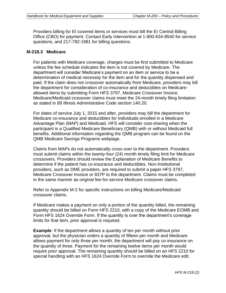Providers billing for EI covered items or services must bill the EI Central Billing Office (CBO) for payment. Contact Early Intervention at 1-800-634-8540 for service questions, and 217-782-1981 for billing questions.

#### **M-218.3 Medicare**

For patients with Medicare coverage, charges must be first submitted to Medicare unless the fee schedule indicates the item is not covered by Medicare. The department will consider Medicare's payment on an item or service to be a determination of medical necessity for the item and for the quantity dispensed and paid. If the claim does not crossover automatically from Medicare, providers may bill the department for consideration of co-insurance and deductibles on Medicareallowed items by submitting Form HFS 3797, Medicare Crossover Invoice. Medicare/Medicaid crossover claims must meet the 24-month timely filing limitation as stated in 89 Illinois Administrative Code section 140.20.

For dates of service July 1, 2015 and after, providers may bill the department for Medicare co-insurance and deductibles for individuals enrolled in a Medicare Advantage Plan (MAP) and Medicaid. HFS will consider cost-sharing when the participant is a Qualified Medicare Beneficiary (QMB) with or without Medicaid full benefits. Additional information regarding the QMB program can be found on the QMB Medicare Savings Programs webpage.

Claims from MAPs do not automatically cross over to the department. Providers must submit claims within the twenty-four (24) month timely filing limit for Medicare crossovers. Providers should review the Explanation of Medicare Benefits to determine if the patient has co-insurance and deductibles. Non-Institutional providers, such as DME providers, are required to submit a paper HFS 3797, Medicare Crossover Invoice or 837P to the department. Claims must be completed in the same manner as original fee-for-service Medicare crossover claims.

Refer to Appendix M-2 for specific instructions on billing Medicare/Medicaid crossover claims.

If Medicare makes a payment on only a portion of the quantity billed, the remaining quantity should be billed on Form HFS 2210, with a copy of the Medicare EOMB and Form HFS 1624 Override Form. If the quantity is over the department's coverage limits for that item, prior approval is required.

**Example**: If the department allows a quantity of ten per month without prior approval, but the physician orders a quantity of fifteen per month and Medicare allows payment for only three per month, the department will pay co-insurance on the quantity of three. Payment for the remaining twelve items per month would require prior approval. The remaining quantity should be billed on an HFS 2210 for special handling with an HFS 1624 Override Form to override the Medicare edit.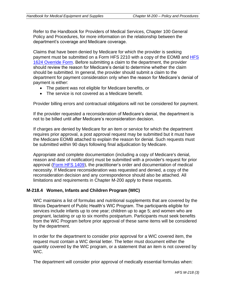Refer to the Handbook for Providers of Medical Services, Chapter 100 General Policy and Procedures, for more information on the relationship between the department's coverage and Medicare coverage.

Claims that have been denied by Medicare for which the provider is seeking payment must be submitted on a Form [HFS](http://www.illinois.gov/hfs/info/Brochures%20and%20Forms/Pages/medicalformsnumeric.aspx) 2210 with a copy of the EOMB and HFS [1624 Override Form.](http://www.illinois.gov/hfs/info/Brochures%20and%20Forms/Pages/medicalformsnumeric.aspx) Before submitting a claim to the department, the provider should review the reason for Medicare's denial to determine whether the claim should be submitted. In general, the provider should submit a claim to the department for payment consideration only when the reason for Medicare's denial of payment is either:

- The patient was not eligible for Medicare benefits, or
- The service is not covered as a Medicare benefit.

Provider billing errors and contractual obligations will not be considered for payment.

If the provider requested a reconsideration of Medicare's denial, the department is not to be billed until after Medicare's reconsideration decision.

If charges are denied by Medicare for an item or service for which the department requires prior approval, a post approval request may be submitted but it must have the Medicare EOMB attached to explain the reason for denial. Such requests must be submitted within 90 days following final adjudication by Medicare.

Appropriate and complete documentation (including a copy of Medicare's denial, reason and date of notification) must be submitted with a provider's request for prior approval [\(Form HFS 1409\)](http://www.illinois.gov/hfs/info/Brochures%20and%20Forms/Pages/medicalformsnumeric.aspx), the practitioner's order and documentation of medical necessity. If Medicare reconsideration was requested and denied, a copy of the reconsideration decision and any correspondence should also be attached. All limitations and requirements in Chapter M-200 apply to these requests.

#### **M-218.4 Women, Infants and Children Program (WIC)**

WIC maintains a list of formulas and nutritional supplements that are covered by the Illinois Department of Public Health's WIC Program. The participants eligible for services include infants up to one year; children up to age 5; and women who are pregnant, lactating or up to six months postpartum. Participants must seek benefits from the WIC Program before prior approval of these same items will be considered by the department.

In order for the department to consider prior approval for a WIC covered item, the request must contain a WIC denial letter. The letter must document either the quantity covered by the WIC program, or a statement that an item is not covered by WIC.

The department will consider prior approval of medically essential formulas when: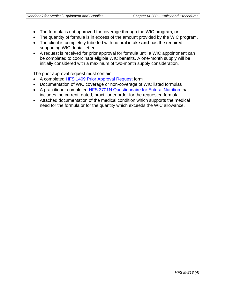- The formula is not approved for coverage through the WIC program, or
- The quantity of formula is in excess of the amount provided by the WIC program.
- The client is completely tube fed with no oral intake **and** has the required supporting WIC denial letter.
- A request is received for prior approval for formula until a WIC appointment can be completed to coordinate eligible WIC benefits. A one-month supply will be initially considered with a maximum of two-month supply consideration.

The prior approval request must contain:

- A completed [HFS 1409 Prior Approval Request](http://www.illinois.gov/hfs/info/Brochures%20and%20Forms/Pages/medicalformsnumeric.aspx) form
- Documentation of WIC coverage or non-coverage of WIC listed formulas
- A practitioner completed [HFS 3701N Questionnaire for Enteral Nutrition](http://www.illinois.gov/hfs/info/Brochures%20and%20Forms/Pages/medicalformsnumeric.aspx) that includes the current, dated, practitioner order for the requested formula.
- Attached documentation of the medical condition which supports the medical need for the formula or for the quantity which exceeds the WIC allowance.